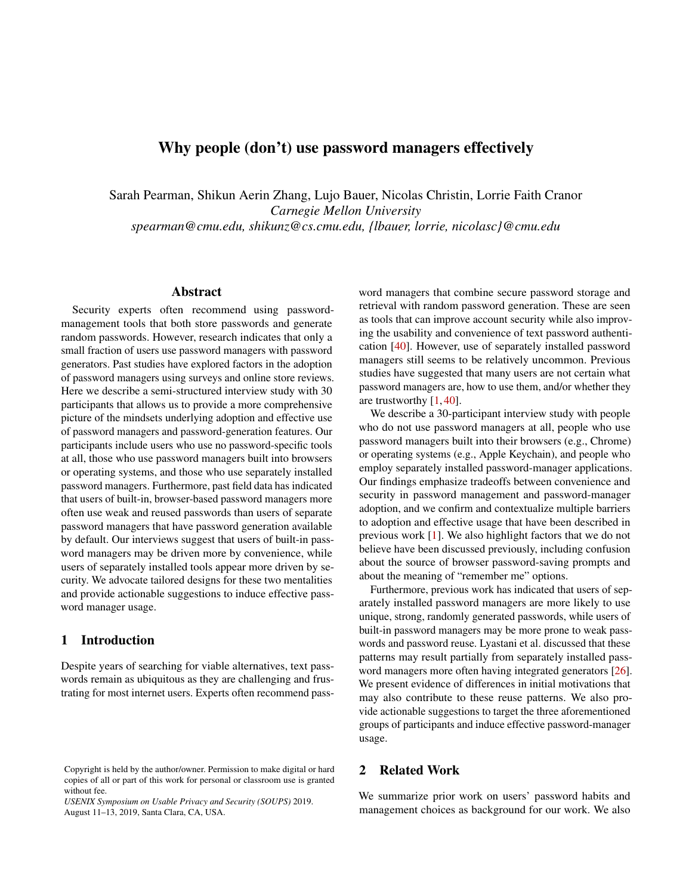# <span id="page-0-0"></span>Why people (don't) use password managers effectively

Sarah Pearman, Shikun Aerin Zhang, Lujo Bauer, Nicolas Christin, Lorrie Faith Cranor *Carnegie Mellon University spearman@cmu.edu, shikunz@cs.cmu.edu, {lbauer, lorrie, nicolasc}@cmu.edu*

#### Abstract

Security experts often recommend using passwordmanagement tools that both store passwords and generate random passwords. However, research indicates that only a small fraction of users use password managers with password generators. Past studies have explored factors in the adoption of password managers using surveys and online store reviews. Here we describe a semi-structured interview study with 30 participants that allows us to provide a more comprehensive picture of the mindsets underlying adoption and effective use of password managers and password-generation features. Our participants include users who use no password-specific tools at all, those who use password managers built into browsers or operating systems, and those who use separately installed password managers. Furthermore, past field data has indicated that users of built-in, browser-based password managers more often use weak and reused passwords than users of separate password managers that have password generation available by default. Our interviews suggest that users of built-in password managers may be driven more by convenience, while users of separately installed tools appear more driven by security. We advocate tailored designs for these two mentalities and provide actionable suggestions to induce effective password manager usage.

### 1 Introduction

Despite years of searching for viable alternatives, text passwords remain as ubiquitous as they are challenging and frustrating for most internet users. Experts often recommend password managers that combine secure password storage and retrieval with random password generation. These are seen as tools that can improve account security while also improving the usability and convenience of text password authentication [\[40\]](#page-13-0). However, use of separately installed password managers still seems to be relatively uncommon. Previous studies have suggested that many users are not certain what password managers are, how to use them, and/or whether they are trustworthy  $[1, 40]$  $[1, 40]$  $[1, 40]$ .

We describe a 30-participant interview study with people who do not use password managers at all, people who use password managers built into their browsers (e.g., Chrome) or operating systems (e.g., Apple Keychain), and people who employ separately installed password-manager applications. Our findings emphasize tradeoffs between convenience and security in password management and password-manager adoption, and we confirm and contextualize multiple barriers to adoption and effective usage that have been described in previous work [\[1\]](#page-12-0). We also highlight factors that we do not believe have been discussed previously, including confusion about the source of browser password-saving prompts and about the meaning of "remember me" options.

Furthermore, previous work has indicated that users of separately installed password managers are more likely to use unique, strong, randomly generated passwords, while users of built-in password managers may be more prone to weak passwords and password reuse. Lyastani et al. discussed that these patterns may result partially from separately installed password managers more often having integrated generators [\[26\]](#page-13-1). We present evidence of differences in initial motivations that may also contribute to these reuse patterns. We also provide actionable suggestions to target the three aforementioned groups of participants and induce effective password-manager usage.

### 2 Related Work

We summarize prior work on users' password habits and management choices as background for our work. We also

Copyright is held by the author/owner. Permission to make digital or hard copies of all or part of this work for personal or classroom use is granted without fee.

*USENIX Symposium on Usable Privacy and Security (SOUPS)* 2019. August 11–13, 2019, Santa Clara, CA, USA.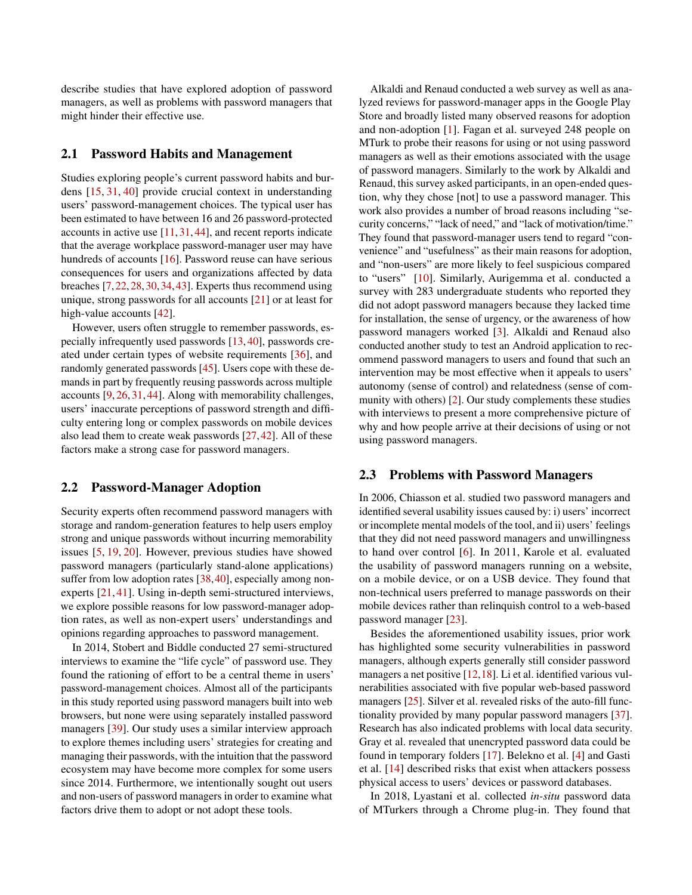describe studies that have explored adoption of password managers, as well as problems with password managers that might hinder their effective use.

#### 2.1 Password Habits and Management

Studies exploring people's current password habits and burdens [\[15,](#page-12-1) [31,](#page-13-2) [40\]](#page-13-0) provide crucial context in understanding users' password-management choices. The typical user has been estimated to have between 16 and 26 password-protected accounts in active use [\[11,](#page-12-2) [31,](#page-13-2) [44\]](#page-14-0), and recent reports indicate that the average workplace password-manager user may have hundreds of accounts [\[16\]](#page-12-3). Password reuse can have serious consequences for users and organizations affected by data breaches [\[7,](#page-12-4)[22,](#page-13-3)[28,](#page-13-4)[30,](#page-13-5)[34,](#page-13-6)[43\]](#page-14-1). Experts thus recommend using unique, strong passwords for all accounts [\[21\]](#page-13-7) or at least for high-value accounts [\[42\]](#page-14-2).

However, users often struggle to remember passwords, especially infrequently used passwords [\[13,](#page-12-5) [40\]](#page-13-0), passwords created under certain types of website requirements [\[36\]](#page-13-8), and randomly generated passwords [\[45\]](#page-14-3). Users cope with these demands in part by frequently reusing passwords across multiple accounts [\[9,](#page-12-6) [26,](#page-13-1) [31,](#page-13-2) [44\]](#page-14-0). Along with memorability challenges, users' inaccurate perceptions of password strength and difficulty entering long or complex passwords on mobile devices also lead them to create weak passwords [\[27,](#page-13-9)[42\]](#page-14-2). All of these factors make a strong case for password managers.

#### 2.2 Password-Manager Adoption

Security experts often recommend password managers with storage and random-generation features to help users employ strong and unique passwords without incurring memorability issues [\[5,](#page-12-7) [19,](#page-12-8) [20\]](#page-13-10). However, previous studies have showed password managers (particularly stand-alone applications) suffer from low adoption rates [\[38,](#page-13-11) [40\]](#page-13-0), especially among nonexperts [\[21,](#page-13-7) [41\]](#page-14-4). Using in-depth semi-structured interviews, we explore possible reasons for low password-manager adoption rates, as well as non-expert users' understandings and opinions regarding approaches to password management.

In 2014, Stobert and Biddle conducted 27 semi-structured interviews to examine the "life cycle" of password use. They found the rationing of effort to be a central theme in users' password-management choices. Almost all of the participants in this study reported using password managers built into web browsers, but none were using separately installed password managers [\[39\]](#page-13-12). Our study uses a similar interview approach to explore themes including users' strategies for creating and managing their passwords, with the intuition that the password ecosystem may have become more complex for some users since 2014. Furthermore, we intentionally sought out users and non-users of password managers in order to examine what factors drive them to adopt or not adopt these tools.

Alkaldi and Renaud conducted a web survey as well as analyzed reviews for password-manager apps in the Google Play Store and broadly listed many observed reasons for adoption and non-adoption [\[1\]](#page-12-0). Fagan et al. surveyed 248 people on MTurk to probe their reasons for using or not using password managers as well as their emotions associated with the usage of password managers. Similarly to the work by Alkaldi and Renaud, this survey asked participants, in an open-ended question, why they chose [not] to use a password manager. This work also provides a number of broad reasons including "security concerns," "lack of need," and "lack of motivation/time." They found that password-manager users tend to regard "convenience" and "usefulness" as their main reasons for adoption, and "non-users" are more likely to feel suspicious compared to "users" [\[10\]](#page-12-9). Similarly, Aurigemma et al. conducted a survey with 283 undergraduate students who reported they did not adopt password managers because they lacked time for installation, the sense of urgency, or the awareness of how password managers worked [\[3\]](#page-12-10). Alkaldi and Renaud also conducted another study to test an Android application to recommend password managers to users and found that such an intervention may be most effective when it appeals to users' autonomy (sense of control) and relatedness (sense of community with others) [\[2\]](#page-12-11). Our study complements these studies with interviews to present a more comprehensive picture of why and how people arrive at their decisions of using or not using password managers.

#### 2.3 Problems with Password Managers

In 2006, Chiasson et al. studied two password managers and identified several usability issues caused by: i) users' incorrect or incomplete mental models of the tool, and ii) users' feelings that they did not need password managers and unwillingness to hand over control [\[6\]](#page-12-12). In 2011, Karole et al. evaluated the usability of password managers running on a website, on a mobile device, or on a USB device. They found that non-technical users preferred to manage passwords on their mobile devices rather than relinquish control to a web-based password manager [\[23\]](#page-13-13).

Besides the aforementioned usability issues, prior work has highlighted some security vulnerabilities in password managers, although experts generally still consider password managers a net positive [\[12,](#page-12-13)[18\]](#page-12-14). Li et al. identified various vulnerabilities associated with five popular web-based password managers [\[25\]](#page-13-14). Silver et al. revealed risks of the auto-fill functionality provided by many popular password managers [\[37\]](#page-13-15). Research has also indicated problems with local data security. Gray et al. revealed that unencrypted password data could be found in temporary folders [\[17\]](#page-12-15). Belekno et al. [\[4\]](#page-12-16) and Gasti et al. [\[14\]](#page-12-17) described risks that exist when attackers possess physical access to users' devices or password databases.

In 2018, Lyastani et al. collected *in-situ* password data of MTurkers through a Chrome plug-in. They found that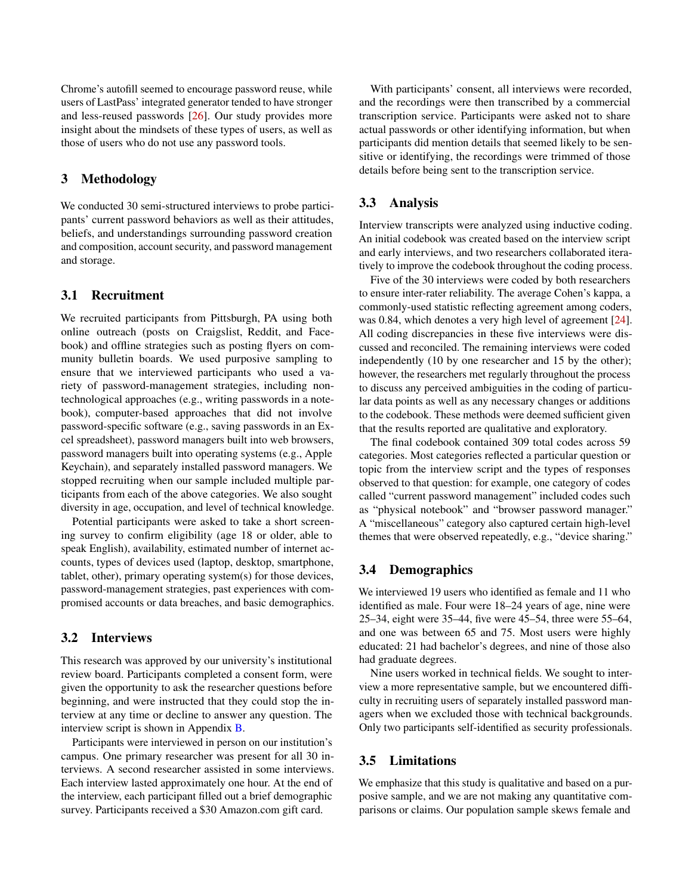Chrome's autofill seemed to encourage password reuse, while users of LastPass' integrated generator tended to have stronger and less-reused passwords [\[26\]](#page-13-1). Our study provides more insight about the mindsets of these types of users, as well as those of users who do not use any password tools.

### 3 Methodology

We conducted 30 semi-structured interviews to probe participants' current password behaviors as well as their attitudes, beliefs, and understandings surrounding password creation and composition, account security, and password management and storage.

#### 3.1 Recruitment

We recruited participants from Pittsburgh, PA using both online outreach (posts on Craigslist, Reddit, and Facebook) and offline strategies such as posting flyers on community bulletin boards. We used purposive sampling to ensure that we interviewed participants who used a variety of password-management strategies, including nontechnological approaches (e.g., writing passwords in a notebook), computer-based approaches that did not involve password-specific software (e.g., saving passwords in an Excel spreadsheet), password managers built into web browsers, password managers built into operating systems (e.g., Apple Keychain), and separately installed password managers. We stopped recruiting when our sample included multiple participants from each of the above categories. We also sought diversity in age, occupation, and level of technical knowledge.

Potential participants were asked to take a short screening survey to confirm eligibility (age 18 or older, able to speak English), availability, estimated number of internet accounts, types of devices used (laptop, desktop, smartphone, tablet, other), primary operating system(s) for those devices, password-management strategies, past experiences with compromised accounts or data breaches, and basic demographics.

### 3.2 Interviews

This research was approved by our university's institutional review board. Participants completed a consent form, were given the opportunity to ask the researcher questions before beginning, and were instructed that they could stop the interview at any time or decline to answer any question. The interview script is shown in Appendix [B.](#page-14-5)

Participants were interviewed in person on our institution's campus. One primary researcher was present for all 30 interviews. A second researcher assisted in some interviews. Each interview lasted approximately one hour. At the end of the interview, each participant filled out a brief demographic survey. Participants received a \$30 Amazon.com gift card.

With participants' consent, all interviews were recorded, and the recordings were then transcribed by a commercial transcription service. Participants were asked not to share actual passwords or other identifying information, but when participants did mention details that seemed likely to be sensitive or identifying, the recordings were trimmed of those details before being sent to the transcription service.

### 3.3 Analysis

Interview transcripts were analyzed using inductive coding. An initial codebook was created based on the interview script and early interviews, and two researchers collaborated iteratively to improve the codebook throughout the coding process.

Five of the 30 interviews were coded by both researchers to ensure inter-rater reliability. The average Cohen's kappa, a commonly-used statistic reflecting agreement among coders, was 0.84, which denotes a very high level of agreement [\[24\]](#page-13-16). All coding discrepancies in these five interviews were discussed and reconciled. The remaining interviews were coded independently (10 by one researcher and 15 by the other); however, the researchers met regularly throughout the process to discuss any perceived ambiguities in the coding of particular data points as well as any necessary changes or additions to the codebook. These methods were deemed sufficient given that the results reported are qualitative and exploratory.

The final codebook contained 309 total codes across 59 categories. Most categories reflected a particular question or topic from the interview script and the types of responses observed to that question: for example, one category of codes called "current password management" included codes such as "physical notebook" and "browser password manager." A "miscellaneous" category also captured certain high-level themes that were observed repeatedly, e.g., "device sharing."

### 3.4 Demographics

We interviewed 19 users who identified as female and 11 who identified as male. Four were 18–24 years of age, nine were 25–34, eight were 35–44, five were 45–54, three were 55–64, and one was between 65 and 75. Most users were highly educated: 21 had bachelor's degrees, and nine of those also had graduate degrees.

Nine users worked in technical fields. We sought to interview a more representative sample, but we encountered difficulty in recruiting users of separately installed password managers when we excluded those with technical backgrounds. Only two participants self-identified as security professionals.

#### 3.5 Limitations

We emphasize that this study is qualitative and based on a purposive sample, and we are not making any quantitative comparisons or claims. Our population sample skews female and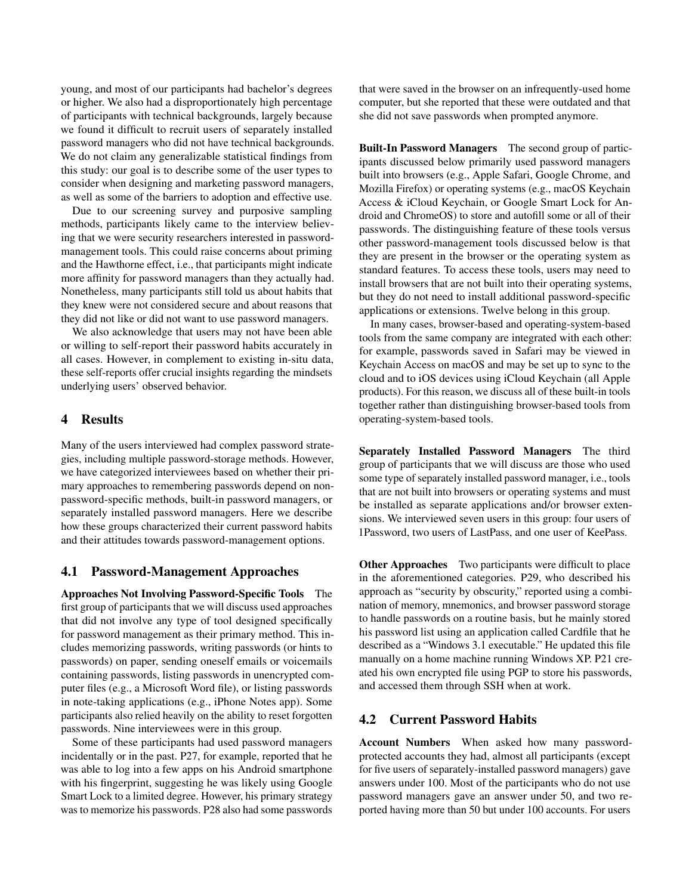young, and most of our participants had bachelor's degrees or higher. We also had a disproportionately high percentage of participants with technical backgrounds, largely because we found it difficult to recruit users of separately installed password managers who did not have technical backgrounds. We do not claim any generalizable statistical findings from this study: our goal is to describe some of the user types to consider when designing and marketing password managers, as well as some of the barriers to adoption and effective use.

Due to our screening survey and purposive sampling methods, participants likely came to the interview believing that we were security researchers interested in passwordmanagement tools. This could raise concerns about priming and the Hawthorne effect, i.e., that participants might indicate more affinity for password managers than they actually had. Nonetheless, many participants still told us about habits that they knew were not considered secure and about reasons that they did not like or did not want to use password managers.

We also acknowledge that users may not have been able or willing to self-report their password habits accurately in all cases. However, in complement to existing in-situ data, these self-reports offer crucial insights regarding the mindsets underlying users' observed behavior.

### 4 Results

Many of the users interviewed had complex password strategies, including multiple password-storage methods. However, we have categorized interviewees based on whether their primary approaches to remembering passwords depend on nonpassword-specific methods, built-in password managers, or separately installed password managers. Here we describe how these groups characterized their current password habits and their attitudes towards password-management options.

#### 4.1 Password-Management Approaches

Approaches Not Involving Password-Specific Tools The first group of participants that we will discuss used approaches that did not involve any type of tool designed specifically for password management as their primary method. This includes memorizing passwords, writing passwords (or hints to passwords) on paper, sending oneself emails or voicemails containing passwords, listing passwords in unencrypted computer files (e.g., a Microsoft Word file), or listing passwords in note-taking applications (e.g., iPhone Notes app). Some participants also relied heavily on the ability to reset forgotten passwords. Nine interviewees were in this group.

Some of these participants had used password managers incidentally or in the past. P27, for example, reported that he was able to log into a few apps on his Android smartphone with his fingerprint, suggesting he was likely using Google Smart Lock to a limited degree. However, his primary strategy was to memorize his passwords. P28 also had some passwords that were saved in the browser on an infrequently-used home computer, but she reported that these were outdated and that she did not save passwords when prompted anymore.

Built-In Password Managers The second group of participants discussed below primarily used password managers built into browsers (e.g., Apple Safari, Google Chrome, and Mozilla Firefox) or operating systems (e.g., macOS Keychain Access & iCloud Keychain, or Google Smart Lock for Android and ChromeOS) to store and autofill some or all of their passwords. The distinguishing feature of these tools versus other password-management tools discussed below is that they are present in the browser or the operating system as standard features. To access these tools, users may need to install browsers that are not built into their operating systems, but they do not need to install additional password-specific applications or extensions. Twelve belong in this group.

In many cases, browser-based and operating-system-based tools from the same company are integrated with each other: for example, passwords saved in Safari may be viewed in Keychain Access on macOS and may be set up to sync to the cloud and to iOS devices using iCloud Keychain (all Apple products). For this reason, we discuss all of these built-in tools together rather than distinguishing browser-based tools from operating-system-based tools.

Separately Installed Password Managers The third group of participants that we will discuss are those who used some type of separately installed password manager, i.e., tools that are not built into browsers or operating systems and must be installed as separate applications and/or browser extensions. We interviewed seven users in this group: four users of 1Password, two users of LastPass, and one user of KeePass.

**Other Approaches** Two participants were difficult to place in the aforementioned categories. P29, who described his approach as "security by obscurity," reported using a combination of memory, mnemonics, and browser password storage to handle passwords on a routine basis, but he mainly stored his password list using an application called Cardfile that he described as a "Windows 3.1 executable." He updated this file manually on a home machine running Windows XP. P21 created his own encrypted file using PGP to store his passwords, and accessed them through SSH when at work.

#### 4.2 Current Password Habits

Account Numbers When asked how many passwordprotected accounts they had, almost all participants (except for five users of separately-installed password managers) gave answers under 100. Most of the participants who do not use password managers gave an answer under 50, and two reported having more than 50 but under 100 accounts. For users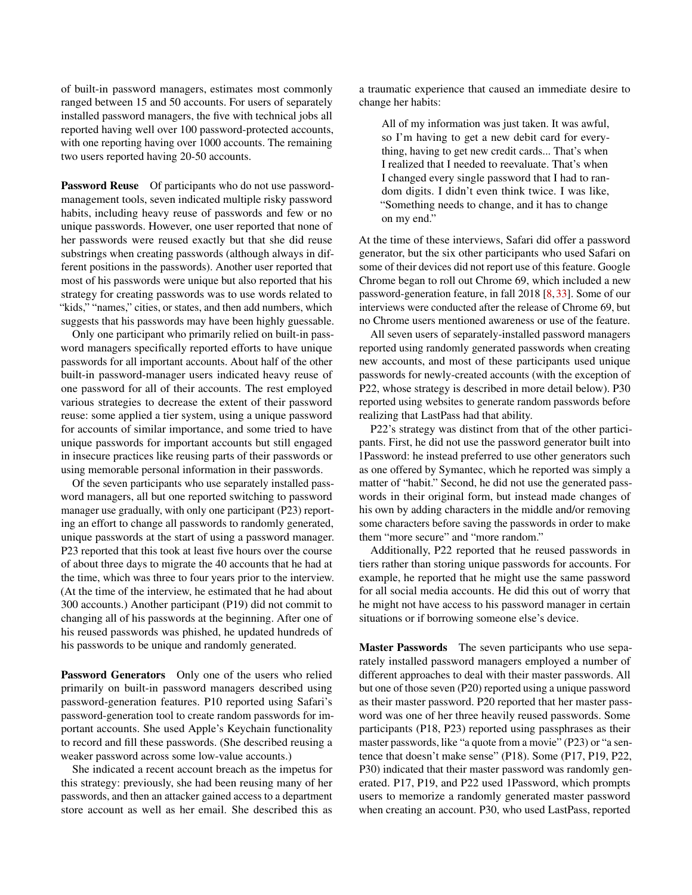of built-in password managers, estimates most commonly ranged between 15 and 50 accounts. For users of separately installed password managers, the five with technical jobs all reported having well over 100 password-protected accounts, with one reporting having over 1000 accounts. The remaining two users reported having 20-50 accounts.

Password Reuse Of participants who do not use passwordmanagement tools, seven indicated multiple risky password habits, including heavy reuse of passwords and few or no unique passwords. However, one user reported that none of her passwords were reused exactly but that she did reuse substrings when creating passwords (although always in different positions in the passwords). Another user reported that most of his passwords were unique but also reported that his strategy for creating passwords was to use words related to "kids," "names," cities, or states, and then add numbers, which suggests that his passwords may have been highly guessable.

Only one participant who primarily relied on built-in password managers specifically reported efforts to have unique passwords for all important accounts. About half of the other built-in password-manager users indicated heavy reuse of one password for all of their accounts. The rest employed various strategies to decrease the extent of their password reuse: some applied a tier system, using a unique password for accounts of similar importance, and some tried to have unique passwords for important accounts but still engaged in insecure practices like reusing parts of their passwords or using memorable personal information in their passwords.

Of the seven participants who use separately installed password managers, all but one reported switching to password manager use gradually, with only one participant (P23) reporting an effort to change all passwords to randomly generated, unique passwords at the start of using a password manager. P23 reported that this took at least five hours over the course of about three days to migrate the 40 accounts that he had at the time, which was three to four years prior to the interview. (At the time of the interview, he estimated that he had about 300 accounts.) Another participant (P19) did not commit to changing all of his passwords at the beginning. After one of his reused passwords was phished, he updated hundreds of his passwords to be unique and randomly generated.

<span id="page-4-0"></span>Password Generators Only one of the users who relied primarily on built-in password managers described using password-generation features. P10 reported using Safari's password-generation tool to create random passwords for important accounts. She used Apple's Keychain functionality to record and fill these passwords. (She described reusing a weaker password across some low-value accounts.)

She indicated a recent account breach as the impetus for this strategy: previously, she had been reusing many of her passwords, and then an attacker gained access to a department store account as well as her email. She described this as

a traumatic experience that caused an immediate desire to change her habits:

All of my information was just taken. It was awful, so I'm having to get a new debit card for everything, having to get new credit cards... That's when I realized that I needed to reevaluate. That's when I changed every single password that I had to random digits. I didn't even think twice. I was like, "Something needs to change, and it has to change on my end."

At the time of these interviews, Safari did offer a password generator, but the six other participants who used Safari on some of their devices did not report use of this feature. Google Chrome began to roll out Chrome 69, which included a new password-generation feature, in fall 2018 [\[8,](#page-12-18)[33\]](#page-13-17). Some of our interviews were conducted after the release of Chrome 69, but no Chrome users mentioned awareness or use of the feature.

All seven users of separately-installed password managers reported using randomly generated passwords when creating new accounts, and most of these participants used unique passwords for newly-created accounts (with the exception of P22, whose strategy is described in more detail below). P30 reported using websites to generate random passwords before realizing that LastPass had that ability.

P22's strategy was distinct from that of the other participants. First, he did not use the password generator built into 1Password: he instead preferred to use other generators such as one offered by Symantec, which he reported was simply a matter of "habit." Second, he did not use the generated passwords in their original form, but instead made changes of his own by adding characters in the middle and/or removing some characters before saving the passwords in order to make them "more secure" and "more random."

Additionally, P22 reported that he reused passwords in tiers rather than storing unique passwords for accounts. For example, he reported that he might use the same password for all social media accounts. He did this out of worry that he might not have access to his password manager in certain situations or if borrowing someone else's device.

Master Passwords The seven participants who use separately installed password managers employed a number of different approaches to deal with their master passwords. All but one of those seven (P20) reported using a unique password as their master password. P20 reported that her master password was one of her three heavily reused passwords. Some participants (P18, P23) reported using passphrases as their master passwords, like "a quote from a movie" (P23) or "a sentence that doesn't make sense" (P18). Some (P17, P19, P22, P30) indicated that their master password was randomly generated. P17, P19, and P22 used 1Password, which prompts users to memorize a randomly generated master password when creating an account. P30, who used LastPass, reported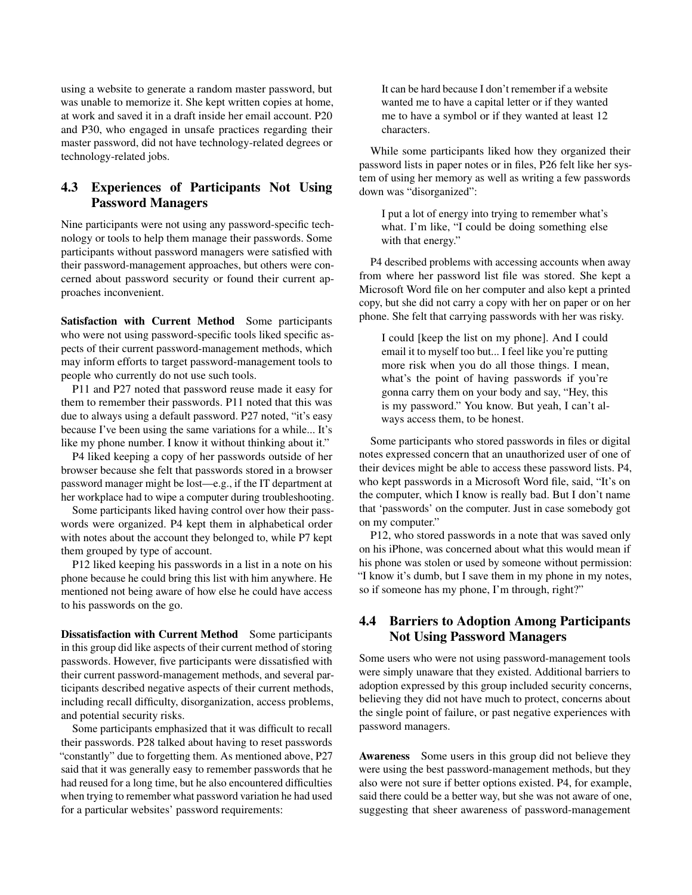using a website to generate a random master password, but was unable to memorize it. She kept written copies at home, at work and saved it in a draft inside her email account. P20 and P30, who engaged in unsafe practices regarding their master password, did not have technology-related degrees or technology-related jobs.

## 4.3 Experiences of Participants Not Using Password Managers

Nine participants were not using any password-specific technology or tools to help them manage their passwords. Some participants without password managers were satisfied with their password-management approaches, but others were concerned about password security or found their current approaches inconvenient.

Satisfaction with Current Method Some participants who were not using password-specific tools liked specific aspects of their current password-management methods, which may inform efforts to target password-management tools to people who currently do not use such tools.

P11 and P27 noted that password reuse made it easy for them to remember their passwords. P11 noted that this was due to always using a default password. P27 noted, "it's easy because I've been using the same variations for a while... It's like my phone number. I know it without thinking about it."

P4 liked keeping a copy of her passwords outside of her browser because she felt that passwords stored in a browser password manager might be lost—e.g., if the IT department at her workplace had to wipe a computer during troubleshooting.

Some participants liked having control over how their passwords were organized. P4 kept them in alphabetical order with notes about the account they belonged to, while P7 kept them grouped by type of account.

P12 liked keeping his passwords in a list in a note on his phone because he could bring this list with him anywhere. He mentioned not being aware of how else he could have access to his passwords on the go.

Dissatisfaction with Current Method Some participants in this group did like aspects of their current method of storing passwords. However, five participants were dissatisfied with their current password-management methods, and several participants described negative aspects of their current methods, including recall difficulty, disorganization, access problems, and potential security risks.

Some participants emphasized that it was difficult to recall their passwords. P28 talked about having to reset passwords "constantly" due to forgetting them. As mentioned above, P27 said that it was generally easy to remember passwords that he had reused for a long time, but he also encountered difficulties when trying to remember what password variation he had used for a particular websites' password requirements:

It can be hard because I don't remember if a website wanted me to have a capital letter or if they wanted me to have a symbol or if they wanted at least 12 characters.

While some participants liked how they organized their password lists in paper notes or in files, P26 felt like her system of using her memory as well as writing a few passwords down was "disorganized":

I put a lot of energy into trying to remember what's what. I'm like, "I could be doing something else with that energy."

P4 described problems with accessing accounts when away from where her password list file was stored. She kept a Microsoft Word file on her computer and also kept a printed copy, but she did not carry a copy with her on paper or on her phone. She felt that carrying passwords with her was risky.

I could [keep the list on my phone]. And I could email it to myself too but... I feel like you're putting more risk when you do all those things. I mean, what's the point of having passwords if you're gonna carry them on your body and say, "Hey, this is my password." You know. But yeah, I can't always access them, to be honest.

Some participants who stored passwords in files or digital notes expressed concern that an unauthorized user of one of their devices might be able to access these password lists. P4, who kept passwords in a Microsoft Word file, said, "It's on the computer, which I know is really bad. But I don't name that 'passwords' on the computer. Just in case somebody got on my computer."

P12, who stored passwords in a note that was saved only on his iPhone, was concerned about what this would mean if his phone was stolen or used by someone without permission: "I know it's dumb, but I save them in my phone in my notes, so if someone has my phone, I'm through, right?"

### 4.4 Barriers to Adoption Among Participants Not Using Password Managers

Some users who were not using password-management tools were simply unaware that they existed. Additional barriers to adoption expressed by this group included security concerns, believing they did not have much to protect, concerns about the single point of failure, or past negative experiences with password managers.

Awareness Some users in this group did not believe they were using the best password-management methods, but they also were not sure if better options existed. P4, for example, said there could be a better way, but she was not aware of one, suggesting that sheer awareness of password-management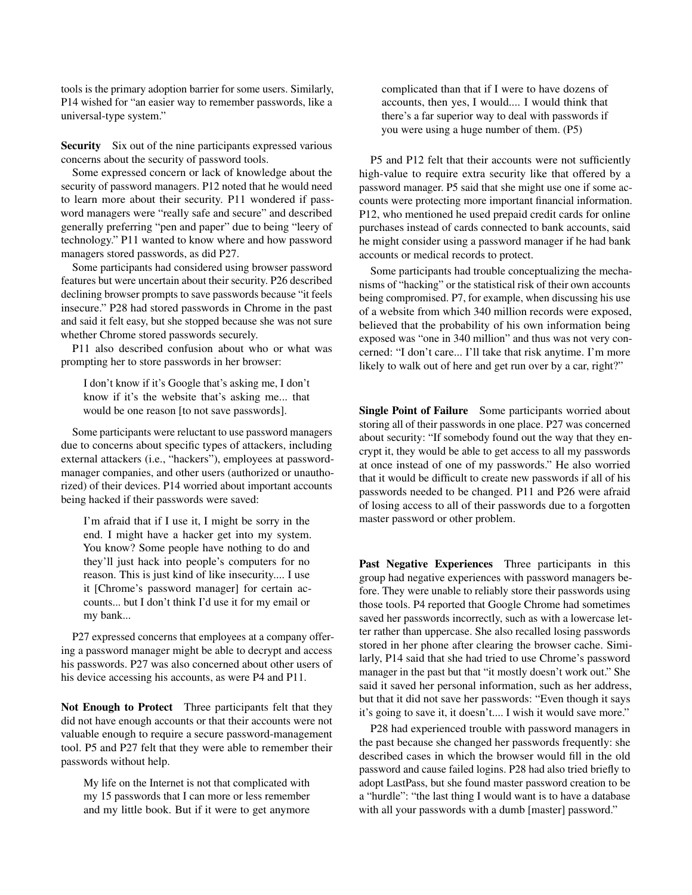tools is the primary adoption barrier for some users. Similarly, P14 wished for "an easier way to remember passwords, like a universal-type system."

Security Six out of the nine participants expressed various concerns about the security of password tools.

Some expressed concern or lack of knowledge about the security of password managers. P12 noted that he would need to learn more about their security. P11 wondered if password managers were "really safe and secure" and described generally preferring "pen and paper" due to being "leery of technology." P11 wanted to know where and how password managers stored passwords, as did P27.

Some participants had considered using browser password features but were uncertain about their security. P26 described declining browser prompts to save passwords because "it feels insecure." P28 had stored passwords in Chrome in the past and said it felt easy, but she stopped because she was not sure whether Chrome stored passwords securely.

P11 also described confusion about who or what was prompting her to store passwords in her browser:

I don't know if it's Google that's asking me, I don't know if it's the website that's asking me... that would be one reason [to not save passwords].

Some participants were reluctant to use password managers due to concerns about specific types of attackers, including external attackers (i.e., "hackers"), employees at passwordmanager companies, and other users (authorized or unauthorized) of their devices. P14 worried about important accounts being hacked if their passwords were saved:

I'm afraid that if I use it, I might be sorry in the end. I might have a hacker get into my system. You know? Some people have nothing to do and they'll just hack into people's computers for no reason. This is just kind of like insecurity.... I use it [Chrome's password manager] for certain accounts... but I don't think I'd use it for my email or my bank...

P27 expressed concerns that employees at a company offering a password manager might be able to decrypt and access his passwords. P27 was also concerned about other users of his device accessing his accounts, as were P4 and P11.

Not Enough to Protect Three participants felt that they did not have enough accounts or that their accounts were not valuable enough to require a secure password-management tool. P5 and P27 felt that they were able to remember their passwords without help.

My life on the Internet is not that complicated with my 15 passwords that I can more or less remember and my little book. But if it were to get anymore complicated than that if I were to have dozens of accounts, then yes, I would.... I would think that there's a far superior way to deal with passwords if you were using a huge number of them. (P5)

P5 and P12 felt that their accounts were not sufficiently high-value to require extra security like that offered by a password manager. P5 said that she might use one if some accounts were protecting more important financial information. P12, who mentioned he used prepaid credit cards for online purchases instead of cards connected to bank accounts, said he might consider using a password manager if he had bank accounts or medical records to protect.

Some participants had trouble conceptualizing the mechanisms of "hacking" or the statistical risk of their own accounts being compromised. P7, for example, when discussing his use of a website from which 340 million records were exposed, believed that the probability of his own information being exposed was "one in 340 million" and thus was not very concerned: "I don't care... I'll take that risk anytime. I'm more likely to walk out of here and get run over by a car, right?"

Single Point of Failure Some participants worried about storing all of their passwords in one place. P27 was concerned about security: "If somebody found out the way that they encrypt it, they would be able to get access to all my passwords at once instead of one of my passwords." He also worried that it would be difficult to create new passwords if all of his passwords needed to be changed. P11 and P26 were afraid of losing access to all of their passwords due to a forgotten master password or other problem.

Past Negative Experiences Three participants in this group had negative experiences with password managers before. They were unable to reliably store their passwords using those tools. P4 reported that Google Chrome had sometimes saved her passwords incorrectly, such as with a lowercase letter rather than uppercase. She also recalled losing passwords stored in her phone after clearing the browser cache. Similarly, P14 said that she had tried to use Chrome's password manager in the past but that "it mostly doesn't work out." She said it saved her personal information, such as her address, but that it did not save her passwords: "Even though it says it's going to save it, it doesn't.... I wish it would save more."

P28 had experienced trouble with password managers in the past because she changed her passwords frequently: she described cases in which the browser would fill in the old password and cause failed logins. P28 had also tried briefly to adopt LastPass, but she found master password creation to be a "hurdle": "the last thing I would want is to have a database with all your passwords with a dumb [master] password."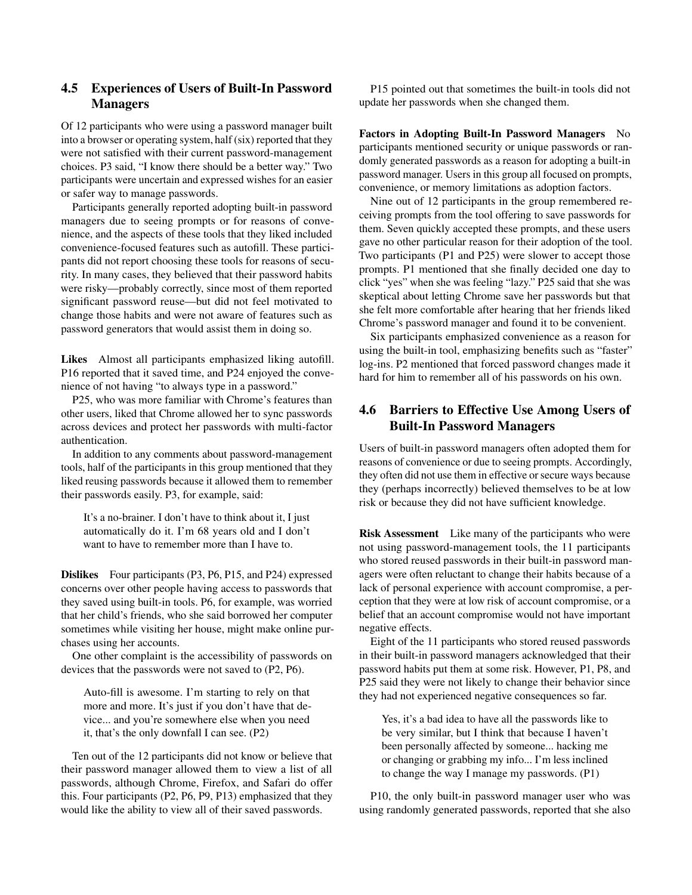### 4.5 Experiences of Users of Built-In Password Managers

Of 12 participants who were using a password manager built into a browser or operating system, half (six) reported that they were not satisfied with their current password-management choices. P3 said, "I know there should be a better way." Two participants were uncertain and expressed wishes for an easier or safer way to manage passwords.

Participants generally reported adopting built-in password managers due to seeing prompts or for reasons of convenience, and the aspects of these tools that they liked included convenience-focused features such as autofill. These participants did not report choosing these tools for reasons of security. In many cases, they believed that their password habits were risky—probably correctly, since most of them reported significant password reuse—but did not feel motivated to change those habits and were not aware of features such as password generators that would assist them in doing so.

Likes Almost all participants emphasized liking autofill. P16 reported that it saved time, and P24 enjoyed the convenience of not having "to always type in a password."

P25, who was more familiar with Chrome's features than other users, liked that Chrome allowed her to sync passwords across devices and protect her passwords with multi-factor authentication.

In addition to any comments about password-management tools, half of the participants in this group mentioned that they liked reusing passwords because it allowed them to remember their passwords easily. P3, for example, said:

It's a no-brainer. I don't have to think about it, I just automatically do it. I'm 68 years old and I don't want to have to remember more than I have to.

Dislikes Four participants (P3, P6, P15, and P24) expressed concerns over other people having access to passwords that they saved using built-in tools. P6, for example, was worried that her child's friends, who she said borrowed her computer sometimes while visiting her house, might make online purchases using her accounts.

One other complaint is the accessibility of passwords on devices that the passwords were not saved to (P2, P6).

Auto-fill is awesome. I'm starting to rely on that more and more. It's just if you don't have that device... and you're somewhere else when you need it, that's the only downfall I can see. (P2)

Ten out of the 12 participants did not know or believe that their password manager allowed them to view a list of all passwords, although Chrome, Firefox, and Safari do offer this. Four participants (P2, P6, P9, P13) emphasized that they would like the ability to view all of their saved passwords.

P15 pointed out that sometimes the built-in tools did not update her passwords when she changed them.

Factors in Adopting Built-In Password Managers No participants mentioned security or unique passwords or randomly generated passwords as a reason for adopting a built-in password manager. Users in this group all focused on prompts, convenience, or memory limitations as adoption factors.

Nine out of 12 participants in the group remembered receiving prompts from the tool offering to save passwords for them. Seven quickly accepted these prompts, and these users gave no other particular reason for their adoption of the tool. Two participants (P1 and P25) were slower to accept those prompts. P1 mentioned that she finally decided one day to click "yes" when she was feeling "lazy." P25 said that she was skeptical about letting Chrome save her passwords but that she felt more comfortable after hearing that her friends liked Chrome's password manager and found it to be convenient.

Six participants emphasized convenience as a reason for using the built-in tool, emphasizing benefits such as "faster" log-ins. P2 mentioned that forced password changes made it hard for him to remember all of his passwords on his own.

## 4.6 Barriers to Effective Use Among Users of Built-In Password Managers

Users of built-in password managers often adopted them for reasons of convenience or due to seeing prompts. Accordingly, they often did not use them in effective or secure ways because they (perhaps incorrectly) believed themselves to be at low risk or because they did not have sufficient knowledge.

Risk Assessment Like many of the participants who were not using password-management tools, the 11 participants who stored reused passwords in their built-in password managers were often reluctant to change their habits because of a lack of personal experience with account compromise, a perception that they were at low risk of account compromise, or a belief that an account compromise would not have important negative effects.

Eight of the 11 participants who stored reused passwords in their built-in password managers acknowledged that their password habits put them at some risk. However, P1, P8, and P25 said they were not likely to change their behavior since they had not experienced negative consequences so far.

Yes, it's a bad idea to have all the passwords like to be very similar, but I think that because I haven't been personally affected by someone... hacking me or changing or grabbing my info... I'm less inclined to change the way I manage my passwords. (P1)

P10, the only built-in password manager user who was using randomly generated passwords, reported that she also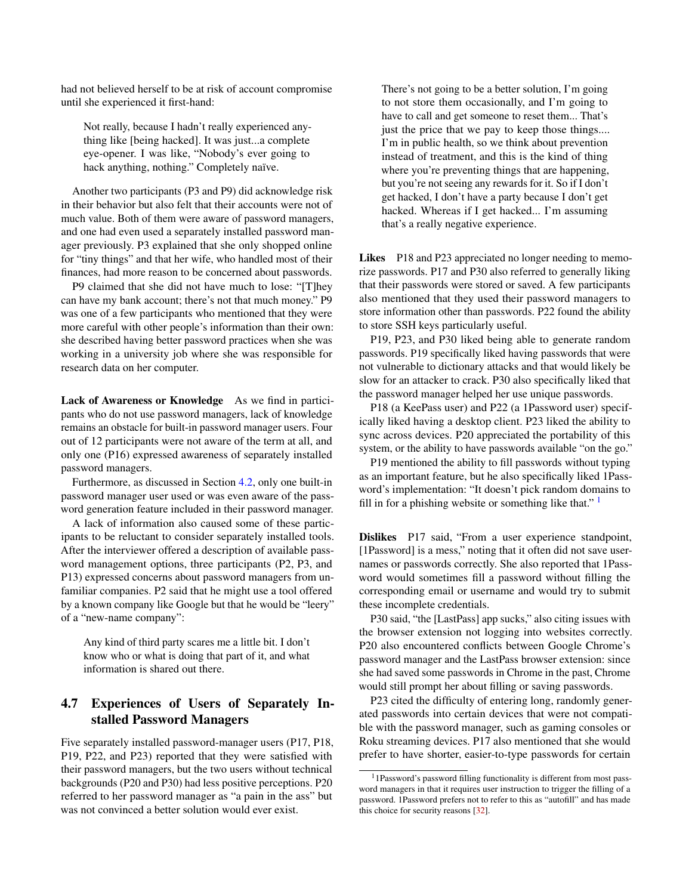had not believed herself to be at risk of account compromise until she experienced it first-hand:

Not really, because I hadn't really experienced anything like [being hacked]. It was just...a complete eye-opener. I was like, "Nobody's ever going to hack anything, nothing." Completely naïve.

Another two participants (P3 and P9) did acknowledge risk in their behavior but also felt that their accounts were not of much value. Both of them were aware of password managers, and one had even used a separately installed password manager previously. P3 explained that she only shopped online for "tiny things" and that her wife, who handled most of their finances, had more reason to be concerned about passwords.

P9 claimed that she did not have much to lose: "[T]hey can have my bank account; there's not that much money." P9 was one of a few participants who mentioned that they were more careful with other people's information than their own: she described having better password practices when she was working in a university job where she was responsible for research data on her computer.

Lack of Awareness or Knowledge As we find in participants who do not use password managers, lack of knowledge remains an obstacle for built-in password manager users. Four out of 12 participants were not aware of the term at all, and only one (P16) expressed awareness of separately installed password managers.

Furthermore, as discussed in Section [4.2,](#page-4-0) only one built-in password manager user used or was even aware of the password generation feature included in their password manager.

A lack of information also caused some of these participants to be reluctant to consider separately installed tools. After the interviewer offered a description of available password management options, three participants (P2, P3, and P13) expressed concerns about password managers from unfamiliar companies. P2 said that he might use a tool offered by a known company like Google but that he would be "leery" of a "new-name company":

Any kind of third party scares me a little bit. I don't know who or what is doing that part of it, and what information is shared out there.

### 4.7 Experiences of Users of Separately Installed Password Managers

Five separately installed password-manager users (P17, P18, P19, P22, and P23) reported that they were satisfied with their password managers, but the two users without technical backgrounds (P20 and P30) had less positive perceptions. P20 referred to her password manager as "a pain in the ass" but was not convinced a better solution would ever exist.

There's not going to be a better solution, I'm going to not store them occasionally, and I'm going to have to call and get someone to reset them... That's just the price that we pay to keep those things.... I'm in public health, so we think about prevention instead of treatment, and this is the kind of thing where you're preventing things that are happening, but you're not seeing any rewards for it. So if I don't get hacked, I don't have a party because I don't get hacked. Whereas if I get hacked... I'm assuming that's a really negative experience.

Likes P18 and P23 appreciated no longer needing to memorize passwords. P17 and P30 also referred to generally liking that their passwords were stored or saved. A few participants also mentioned that they used their password managers to store information other than passwords. P22 found the ability to store SSH keys particularly useful.

P19, P23, and P30 liked being able to generate random passwords. P19 specifically liked having passwords that were not vulnerable to dictionary attacks and that would likely be slow for an attacker to crack. P30 also specifically liked that the password manager helped her use unique passwords.

P18 (a KeePass user) and P22 (a 1Password user) specifically liked having a desktop client. P23 liked the ability to sync across devices. P20 appreciated the portability of this system, or the ability to have passwords available "on the go."

P19 mentioned the ability to fill passwords without typing as an important feature, but he also specifically liked 1Password's implementation: "It doesn't pick random domains to fill in for a phishing website or something like that."  $\frac{1}{1}$  $\frac{1}{1}$  $\frac{1}{1}$ 

Dislikes P17 said, "From a user experience standpoint, [1Password] is a mess," noting that it often did not save usernames or passwords correctly. She also reported that 1Password would sometimes fill a password without filling the corresponding email or username and would try to submit these incomplete credentials.

P30 said, "the [LastPass] app sucks," also citing issues with the browser extension not logging into websites correctly. P20 also encountered conflicts between Google Chrome's password manager and the LastPass browser extension: since she had saved some passwords in Chrome in the past, Chrome would still prompt her about filling or saving passwords.

P23 cited the difficulty of entering long, randomly generated passwords into certain devices that were not compatible with the password manager, such as gaming consoles or Roku streaming devices. P17 also mentioned that she would prefer to have shorter, easier-to-type passwords for certain

<span id="page-8-0"></span><sup>&</sup>lt;sup>1</sup>1Password's password filling functionality is different from most password managers in that it requires user instruction to trigger the filling of a password. 1Password prefers not to refer to this as "autofill" and has made this choice for security reasons [\[32\]](#page-13-18).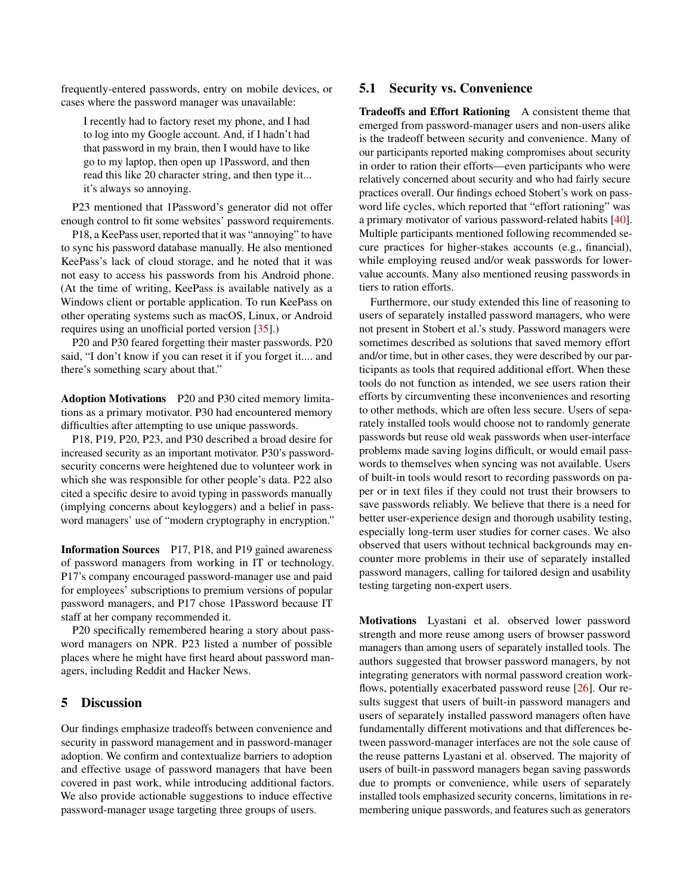frequently-entered passwords, entry on mobile devices, or cases where the password manager was unavailable:

I recently had to factory reset my phone, and I had to log into my Google account. And, if I hadn't had that password in my brain, then I would have to like go to my laptop, then open up 1Password, and then read this like 20 character string, and then type it... it's always so annoying.

P23 mentioned that 1Password's generator did not offer enough control to fit some websites' password requirements.

P18, a KeePass user, reported that it was "annoying" to have to sync his password database manually. He also mentioned KeePass's lack of cloud storage, and he noted that it was not easy to access his passwords from his Android phone. (At the time of writing, KeePass is available natively as a Windows client or portable application. To run KeePass on other operating systems such as macOS, Linux, or Android requires using an unofficial ported version [\[35\]](#page-13-19).)

P20 and P30 feared forgetting their master passwords. P20 said, "I don't know if you can reset it if you forget it.... and there's something scary about that."

Adoption Motivations P20 and P30 cited memory limitations as a primary motivator. P30 had encountered memory difficulties after attempting to use unique passwords.

P18, P19, P20, P23, and P30 described a broad desire for increased security as an important motivator. P30's passwordsecurity concerns were heightened due to volunteer work in which she was responsible for other people's data. P22 also cited a specific desire to avoid typing in passwords manually (implying concerns about keyloggers) and a belief in password managers' use of "modern cryptography in encryption."

Information Sources P17, P18, and P19 gained awareness of password managers from working in IT or technology. P17's company encouraged password-manager use and paid for employees' subscriptions to premium versions of popular password managers, and P17 chose 1Password because IT staff at her company recommended it.

P20 specifically remembered hearing a story about password managers on NPR. P23 listed a number of possible places where he might have first heard about password managers, including Reddit and Hacker News.

#### 5 Discussion

Our findings emphasize tradeoffs between convenience and security in password management and in password-manager adoption. We confirm and contextualize barriers to adoption and effective usage of password managers that have been covered in past work, while introducing additional factors. We also provide actionable suggestions to induce effective password-manager usage targeting three groups of users.

### <span id="page-9-0"></span>5.1 Security vs. Convenience

Tradeoffs and Effort Rationing A consistent theme that emerged from password-manager users and non-users alike is the tradeoff between security and convenience. Many of our participants reported making compromises about security in order to ration their efforts—even participants who were relatively concerned about security and who had fairly secure practices overall. Our findings echoed Stobert's work on password life cycles, which reported that "effort rationing" was a primary motivator of various password-related habits [\[40\]](#page-13-0). Multiple participants mentioned following recommended secure practices for higher-stakes accounts (e.g., financial), while employing reused and/or weak passwords for lowervalue accounts. Many also mentioned reusing passwords in tiers to ration efforts.

Furthermore, our study extended this line of reasoning to users of separately installed password managers, who were not present in Stobert et al.'s study. Password managers were sometimes described as solutions that saved memory effort and/or time, but in other cases, they were described by our participants as tools that required additional effort. When these tools do not function as intended, we see users ration their efforts by circumventing these inconveniences and resorting to other methods, which are often less secure. Users of separately installed tools would choose not to randomly generate passwords but reuse old weak passwords when user-interface problems made saving logins difficult, or would email passwords to themselves when syncing was not available. Users of built-in tools would resort to recording passwords on paper or in text files if they could not trust their browsers to save passwords reliably. We believe that there is a need for better user-experience design and thorough usability testing, especially long-term user studies for corner cases. We also observed that users without technical backgrounds may encounter more problems in their use of separately installed password managers, calling for tailored design and usability testing targeting non-expert users.

Motivations Lyastani et al. observed lower password strength and more reuse among users of browser password managers than among users of separately installed tools. The authors suggested that browser password managers, by not integrating generators with normal password creation workflows, potentially exacerbated password reuse [\[26\]](#page-13-1). Our results suggest that users of built-in password managers and users of separately installed password managers often have fundamentally different motivations and that differences between password-manager interfaces are not the sole cause of the reuse patterns Lyastani et al. observed. The majority of users of built-in password managers began saving passwords due to prompts or convenience, while users of separately installed tools emphasized security concerns, limitations in remembering unique passwords, and features such as generators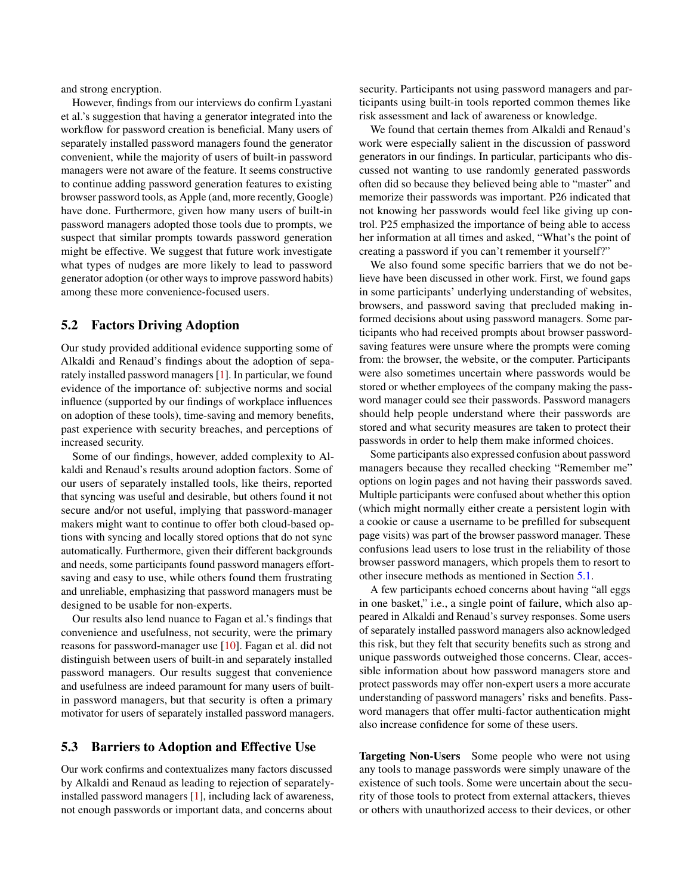and strong encryption.

However, findings from our interviews do confirm Lyastani et al.'s suggestion that having a generator integrated into the workflow for password creation is beneficial. Many users of separately installed password managers found the generator convenient, while the majority of users of built-in password managers were not aware of the feature. It seems constructive to continue adding password generation features to existing browser password tools, as Apple (and, more recently, Google) have done. Furthermore, given how many users of built-in password managers adopted those tools due to prompts, we suspect that similar prompts towards password generation might be effective. We suggest that future work investigate what types of nudges are more likely to lead to password generator adoption (or other ways to improve password habits) among these more convenience-focused users.

### 5.2 Factors Driving Adoption

Our study provided additional evidence supporting some of Alkaldi and Renaud's findings about the adoption of separately installed password managers [\[1\]](#page-12-0). In particular, we found evidence of the importance of: subjective norms and social influence (supported by our findings of workplace influences on adoption of these tools), time-saving and memory benefits, past experience with security breaches, and perceptions of increased security.

Some of our findings, however, added complexity to Alkaldi and Renaud's results around adoption factors. Some of our users of separately installed tools, like theirs, reported that syncing was useful and desirable, but others found it not secure and/or not useful, implying that password-manager makers might want to continue to offer both cloud-based options with syncing and locally stored options that do not sync automatically. Furthermore, given their different backgrounds and needs, some participants found password managers effortsaving and easy to use, while others found them frustrating and unreliable, emphasizing that password managers must be designed to be usable for non-experts.

Our results also lend nuance to Fagan et al.'s findings that convenience and usefulness, not security, were the primary reasons for password-manager use [\[10\]](#page-12-9). Fagan et al. did not distinguish between users of built-in and separately installed password managers. Our results suggest that convenience and usefulness are indeed paramount for many users of builtin password managers, but that security is often a primary motivator for users of separately installed password managers.

### 5.3 Barriers to Adoption and Effective Use

Our work confirms and contextualizes many factors discussed by Alkaldi and Renaud as leading to rejection of separatelyinstalled password managers [\[1\]](#page-12-0), including lack of awareness, not enough passwords or important data, and concerns about

security. Participants not using password managers and participants using built-in tools reported common themes like risk assessment and lack of awareness or knowledge.

We found that certain themes from Alkaldi and Renaud's work were especially salient in the discussion of password generators in our findings. In particular, participants who discussed not wanting to use randomly generated passwords often did so because they believed being able to "master" and memorize their passwords was important. P26 indicated that not knowing her passwords would feel like giving up control. P25 emphasized the importance of being able to access her information at all times and asked, "What's the point of creating a password if you can't remember it yourself?"

We also found some specific barriers that we do not believe have been discussed in other work. First, we found gaps in some participants' underlying understanding of websites, browsers, and password saving that precluded making informed decisions about using password managers. Some participants who had received prompts about browser passwordsaving features were unsure where the prompts were coming from: the browser, the website, or the computer. Participants were also sometimes uncertain where passwords would be stored or whether employees of the company making the password manager could see their passwords. Password managers should help people understand where their passwords are stored and what security measures are taken to protect their passwords in order to help them make informed choices.

Some participants also expressed confusion about password managers because they recalled checking "Remember me" options on login pages and not having their passwords saved. Multiple participants were confused about whether this option (which might normally either create a persistent login with a cookie or cause a username to be prefilled for subsequent page visits) was part of the browser password manager. These confusions lead users to lose trust in the reliability of those browser password managers, which propels them to resort to other insecure methods as mentioned in Section [5.1.](#page-9-0)

A few participants echoed concerns about having "all eggs in one basket," i.e., a single point of failure, which also appeared in Alkaldi and Renaud's survey responses. Some users of separately installed password managers also acknowledged this risk, but they felt that security benefits such as strong and unique passwords outweighed those concerns. Clear, accessible information about how password managers store and protect passwords may offer non-expert users a more accurate understanding of password managers' risks and benefits. Password managers that offer multi-factor authentication might also increase confidence for some of these users.

Targeting Non-Users Some people who were not using any tools to manage passwords were simply unaware of the existence of such tools. Some were uncertain about the security of those tools to protect from external attackers, thieves or others with unauthorized access to their devices, or other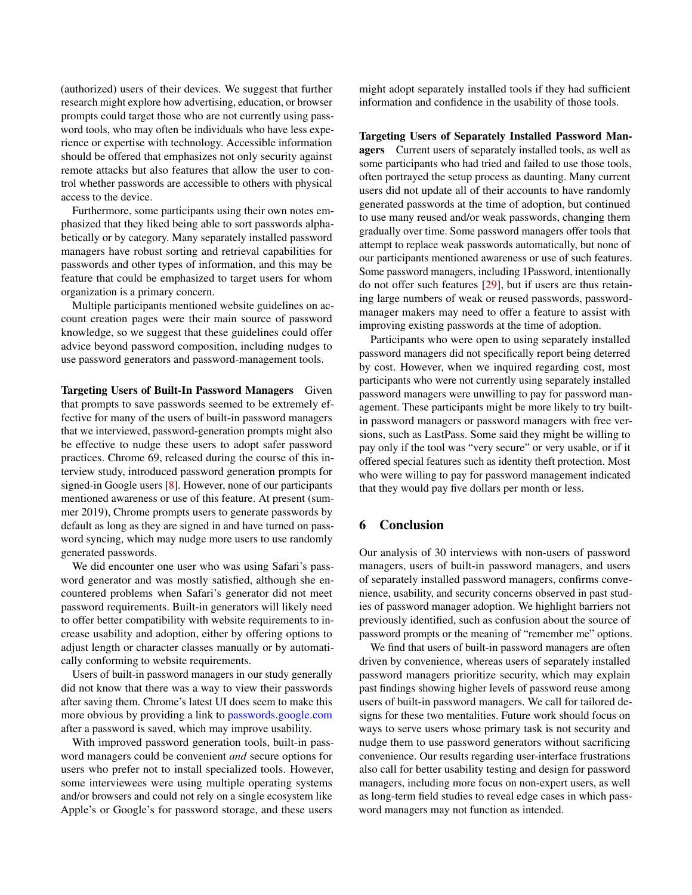(authorized) users of their devices. We suggest that further research might explore how advertising, education, or browser prompts could target those who are not currently using password tools, who may often be individuals who have less experience or expertise with technology. Accessible information should be offered that emphasizes not only security against remote attacks but also features that allow the user to control whether passwords are accessible to others with physical access to the device.

Furthermore, some participants using their own notes emphasized that they liked being able to sort passwords alphabetically or by category. Many separately installed password managers have robust sorting and retrieval capabilities for passwords and other types of information, and this may be feature that could be emphasized to target users for whom organization is a primary concern.

Multiple participants mentioned website guidelines on account creation pages were their main source of password knowledge, so we suggest that these guidelines could offer advice beyond password composition, including nudges to use password generators and password-management tools.

Targeting Users of Built-In Password Managers Given that prompts to save passwords seemed to be extremely effective for many of the users of built-in password managers that we interviewed, password-generation prompts might also be effective to nudge these users to adopt safer password practices. Chrome 69, released during the course of this interview study, introduced password generation prompts for signed-in Google users [\[8\]](#page-12-18). However, none of our participants mentioned awareness or use of this feature. At present (summer 2019), Chrome prompts users to generate passwords by default as long as they are signed in and have turned on password syncing, which may nudge more users to use randomly generated passwords.

We did encounter one user who was using Safari's password generator and was mostly satisfied, although she encountered problems when Safari's generator did not meet password requirements. Built-in generators will likely need to offer better compatibility with website requirements to increase usability and adoption, either by offering options to adjust length or character classes manually or by automatically conforming to website requirements.

Users of built-in password managers in our study generally did not know that there was a way to view their passwords after saving them. Chrome's latest UI does seem to make this more obvious by providing a link to [passwords](passwords.google.com).google.com after a password is saved, which may improve usability.

With improved password generation tools, built-in password managers could be convenient *and* secure options for users who prefer not to install specialized tools. However, some interviewees were using multiple operating systems and/or browsers and could not rely on a single ecosystem like Apple's or Google's for password storage, and these users

might adopt separately installed tools if they had sufficient information and confidence in the usability of those tools.

Targeting Users of Separately Installed Password Managers Current users of separately installed tools, as well as some participants who had tried and failed to use those tools, often portrayed the setup process as daunting. Many current users did not update all of their accounts to have randomly generated passwords at the time of adoption, but continued to use many reused and/or weak passwords, changing them gradually over time. Some password managers offer tools that attempt to replace weak passwords automatically, but none of our participants mentioned awareness or use of such features. Some password managers, including 1Password, intentionally do not offer such features [\[29\]](#page-13-20), but if users are thus retaining large numbers of weak or reused passwords, passwordmanager makers may need to offer a feature to assist with improving existing passwords at the time of adoption.

Participants who were open to using separately installed password managers did not specifically report being deterred by cost. However, when we inquired regarding cost, most participants who were not currently using separately installed password managers were unwilling to pay for password management. These participants might be more likely to try builtin password managers or password managers with free versions, such as LastPass. Some said they might be willing to pay only if the tool was "very secure" or very usable, or if it offered special features such as identity theft protection. Most who were willing to pay for password management indicated that they would pay five dollars per month or less.

### 6 Conclusion

Our analysis of 30 interviews with non-users of password managers, users of built-in password managers, and users of separately installed password managers, confirms convenience, usability, and security concerns observed in past studies of password manager adoption. We highlight barriers not previously identified, such as confusion about the source of password prompts or the meaning of "remember me" options.

We find that users of built-in password managers are often driven by convenience, whereas users of separately installed password managers prioritize security, which may explain past findings showing higher levels of password reuse among users of built-in password managers. We call for tailored designs for these two mentalities. Future work should focus on ways to serve users whose primary task is not security and nudge them to use password generators without sacrificing convenience. Our results regarding user-interface frustrations also call for better usability testing and design for password managers, including more focus on non-expert users, as well as long-term field studies to reveal edge cases in which password managers may not function as intended.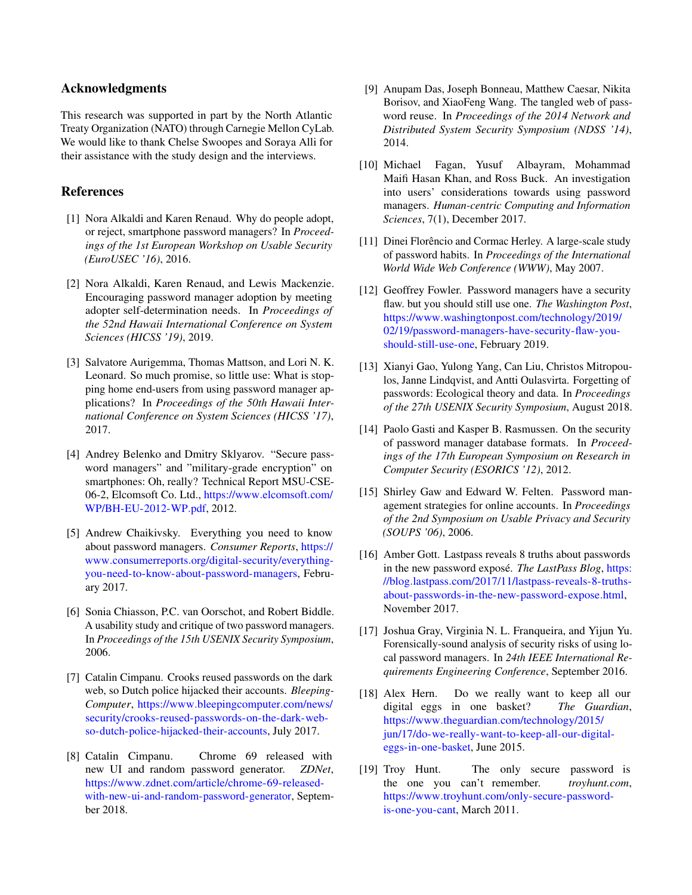### Acknowledgments

This research was supported in part by the North Atlantic Treaty Organization (NATO) through Carnegie Mellon CyLab. We would like to thank Chelse Swoopes and Soraya Alli for their assistance with the study design and the interviews.

### References

- <span id="page-12-0"></span>[1] Nora Alkaldi and Karen Renaud. Why do people adopt, or reject, smartphone password managers? In *Proceedings of the 1st European Workshop on Usable Security (EuroUSEC '16)*, 2016.
- <span id="page-12-11"></span>[2] Nora Alkaldi, Karen Renaud, and Lewis Mackenzie. Encouraging password manager adoption by meeting adopter self-determination needs. In *Proceedings of the 52nd Hawaii International Conference on System Sciences (HICSS '19)*, 2019.
- <span id="page-12-10"></span>[3] Salvatore Aurigemma, Thomas Mattson, and Lori N. K. Leonard. So much promise, so little use: What is stopping home end-users from using password manager applications? In *Proceedings of the 50th Hawaii International Conference on System Sciences (HICSS '17)*, 2017.
- <span id="page-12-16"></span>[4] Andrey Belenko and Dmitry Sklyarov. "Secure password managers" and "military-grade encryption" on smartphones: Oh, really? Technical Report MSU-CSE-06-2, Elcomsoft Co. Ltd., [https://www](https://www.elcomsoft.com/WP/BH-EU-2012-WP.pdf).elcomsoft.com/ [WP/BH-EU-2012-WP](https://www.elcomsoft.com/WP/BH-EU-2012-WP.pdf).pdf, 2012.
- <span id="page-12-7"></span>[5] Andrew Chaikivsky. Everything you need to know about password managers. *Consumer Reports*, [https://](https://www.consumerreports.org/digital-security/everything-you-need-to-know-about-password-managers) www.consumerreports.[org/digital-security/everything](https://www.consumerreports.org/digital-security/everything-you-need-to-know-about-password-managers)[you-need-to-know-about-password-managers,](https://www.consumerreports.org/digital-security/everything-you-need-to-know-about-password-managers) February 2017.
- <span id="page-12-12"></span>[6] Sonia Chiasson, P.C. van Oorschot, and Robert Biddle. A usability study and critique of two password managers. In *Proceedings of the 15th USENIX Security Symposium*, 2006.
- <span id="page-12-4"></span>[7] Catalin Cimpanu. Crooks reused passwords on the dark web, so Dutch police hijacked their accounts. *Bleeping-Computer*, https://www.[bleepingcomputer](https://www.bleepingcomputer.com/news/security/crooks-reused-passwords-on-the-dark-web-so-dutch-police-hijacked-their-accounts).com/news/ [security/crooks-reused-passwords-on-the-dark-web](https://www.bleepingcomputer.com/news/security/crooks-reused-passwords-on-the-dark-web-so-dutch-police-hijacked-their-accounts)[so-dutch-police-hijacked-their-accounts,](https://www.bleepingcomputer.com/news/security/crooks-reused-passwords-on-the-dark-web-so-dutch-police-hijacked-their-accounts) July 2017.
- <span id="page-12-18"></span>[8] Catalin Cimpanu. Chrome 69 released with new UI and random password generator. *ZDNet*, https://www.zdnet.[com/article/chrome-69-released](https://www.zdnet.com/article/chrome-69-released-with-new-ui-and-random-password-generator)[with-new-ui-and-random-password-generator,](https://www.zdnet.com/article/chrome-69-released-with-new-ui-and-random-password-generator) September 2018.
- <span id="page-12-6"></span>[9] Anupam Das, Joseph Bonneau, Matthew Caesar, Nikita Borisov, and XiaoFeng Wang. The tangled web of password reuse. In *Proceedings of the 2014 Network and Distributed System Security Symposium (NDSS '14)*, 2014.
- <span id="page-12-9"></span>[10] Michael Fagan, Yusuf Albayram, Mohammad Maifi Hasan Khan, and Ross Buck. An investigation into users' considerations towards using password managers. *Human-centric Computing and Information Sciences*, 7(1), December 2017.
- <span id="page-12-2"></span>[11] Dinei Florêncio and Cormac Herley. A large-scale study of password habits. In *Proceedings of the International World Wide Web Conference (WWW)*, May 2007.
- <span id="page-12-13"></span>[12] Geoffrey Fowler. Password managers have a security flaw. but you should still use one. *The Washington Post*, https://www.washingtonpost.[com/technology/2019/](https://www.washingtonpost.com/technology/2019/02/19/password-managers-have-security-flaw-you-should-still-use-one) [02/19/password-managers-have-security-flaw-you](https://www.washingtonpost.com/technology/2019/02/19/password-managers-have-security-flaw-you-should-still-use-one)[should-still-use-one,](https://www.washingtonpost.com/technology/2019/02/19/password-managers-have-security-flaw-you-should-still-use-one) February 2019.
- <span id="page-12-5"></span>[13] Xianyi Gao, Yulong Yang, Can Liu, Christos Mitropoulos, Janne Lindqvist, and Antti Oulasvirta. Forgetting of passwords: Ecological theory and data. In *Proceedings of the 27th USENIX Security Symposium*, August 2018.
- <span id="page-12-17"></span>[14] Paolo Gasti and Kasper B. Rasmussen. On the security of password manager database formats. In *Proceedings of the 17th European Symposium on Research in Computer Security (ESORICS '12)*, 2012.
- <span id="page-12-1"></span>[15] Shirley Gaw and Edward W. Felten. Password management strategies for online accounts. In *Proceedings of the 2nd Symposium on Usable Privacy and Security (SOUPS '06)*, 2006.
- <span id="page-12-3"></span>[16] Amber Gott. Lastpass reveals 8 truths about passwords in the new password exposé. *The LastPass Blog*, [https:](https://blog.lastpass.com/2017/11/lastpass-reveals-8-truths-about-passwords-in-the-new-password-expose.html) //blog.lastpass.[com/2017/11/lastpass-reveals-8-truths](https://blog.lastpass.com/2017/11/lastpass-reveals-8-truths-about-passwords-in-the-new-password-expose.html)[about-passwords-in-the-new-password-expose](https://blog.lastpass.com/2017/11/lastpass-reveals-8-truths-about-passwords-in-the-new-password-expose.html).html, November 2017.
- <span id="page-12-15"></span>[17] Joshua Gray, Virginia N. L. Franqueira, and Yijun Yu. Forensically-sound analysis of security risks of using local password managers. In *24th IEEE International Requirements Engineering Conference*, September 2016.
- <span id="page-12-14"></span>[18] Alex Hern. Do we really want to keep all our digital eggs in one basket? *The Guardian*, https://www.theguardian.[com/technology/2015/](https://www.theguardian.com/technology/2015/jun/17/do-we-really-want-to-keep-all-our-digital-eggs-in-one-basket) [jun/17/do-we-really-want-to-keep-all-our-digital](https://www.theguardian.com/technology/2015/jun/17/do-we-really-want-to-keep-all-our-digital-eggs-in-one-basket)[eggs-in-one-basket,](https://www.theguardian.com/technology/2015/jun/17/do-we-really-want-to-keep-all-our-digital-eggs-in-one-basket) June 2015.
- <span id="page-12-8"></span>[19] Troy Hunt. The only secure password is the one you can't remember. *troyhunt.com*, https://www.troyhunt.[com/only-secure-password](https://www.troyhunt.com/only-secure-password-is-one-you-cant)[is-one-you-cant,](https://www.troyhunt.com/only-secure-password-is-one-you-cant) March 2011.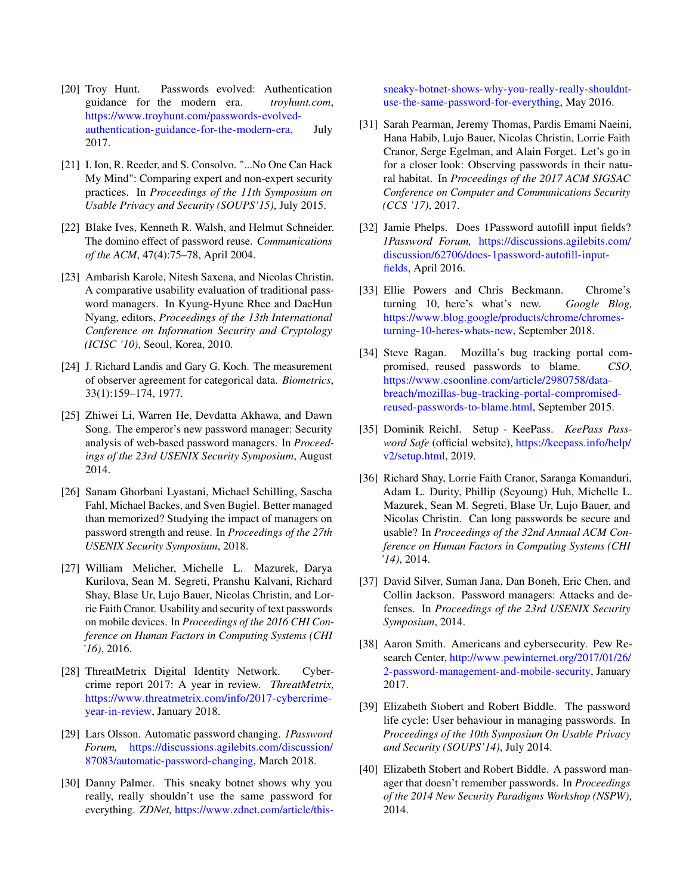- <span id="page-13-10"></span>[20] Troy Hunt. Passwords evolved: Authentication guidance for the modern era. *troyhunt.com*, https://www.troyhunt.[com/passwords-evolved](https://www.troyhunt.com/passwords-evolved-authentication-guidance-for-the-modern-era)[authentication-guidance-for-the-modern-era,](https://www.troyhunt.com/passwords-evolved-authentication-guidance-for-the-modern-era) July 2017.
- <span id="page-13-7"></span>[21] I. Ion, R. Reeder, and S. Consolvo. "...No One Can Hack My Mind": Comparing expert and non-expert security practices. In *Proceedings of the 11th Symposium on Usable Privacy and Security (SOUPS'15)*, July 2015.
- <span id="page-13-3"></span>[22] Blake Ives, Kenneth R. Walsh, and Helmut Schneider. The domino effect of password reuse. *Communications of the ACM*, 47(4):75–78, April 2004.
- <span id="page-13-13"></span>[23] Ambarish Karole, Nitesh Saxena, and Nicolas Christin. A comparative usability evaluation of traditional password managers. In Kyung-Hyune Rhee and DaeHun Nyang, editors, *Proceedings of the 13th International Conference on Information Security and Cryptology (ICISC '10)*, Seoul, Korea, 2010.
- <span id="page-13-16"></span>[24] J. Richard Landis and Gary G. Koch. The measurement of observer agreement for categorical data. *Biometrics*, 33(1):159–174, 1977.
- <span id="page-13-14"></span>[25] Zhiwei Li, Warren He, Devdatta Akhawa, and Dawn Song. The emperor's new password manager: Security analysis of web-based password managers. In *Proceedings of the 23rd USENIX Security Symposium*, August 2014.
- <span id="page-13-1"></span>[26] Sanam Ghorbani Lyastani, Michael Schilling, Sascha Fahl, Michael Backes, and Sven Bugiel. Better managed than memorized? Studying the impact of managers on password strength and reuse. In *Proceedings of the 27th USENIX Security Symposium*, 2018.
- <span id="page-13-9"></span>[27] William Melicher, Michelle L. Mazurek, Darya Kurilova, Sean M. Segreti, Pranshu Kalvani, Richard Shay, Blase Ur, Lujo Bauer, Nicolas Christin, and Lorrie Faith Cranor. Usability and security of text passwords on mobile devices. In *Proceedings of the 2016 CHI Conference on Human Factors in Computing Systems (CHI '16)*, 2016.
- <span id="page-13-4"></span>[28] ThreatMetrix Digital Identity Network. Cybercrime report 2017: A year in review. *ThreatMetrix,* https://www.threatmetrix.[com/info/2017-cybercrime](https://www.threatmetrix.com/info/2017-cybercrime-year-in-review)[year-in-review,](https://www.threatmetrix.com/info/2017-cybercrime-year-in-review) January 2018.
- <span id="page-13-20"></span>[29] Lars Olsson. Automatic password changing. *1Password Forum,* [https://discussions](https://discussions.agilebits.com/discussion/87083/automatic-password-changing).agilebits.com/discussion/ [87083/automatic-password-changing,](https://discussions.agilebits.com/discussion/87083/automatic-password-changing) March 2018.
- <span id="page-13-5"></span>[30] Danny Palmer. This sneaky botnet shows why you really, really shouldn't use the same password for everything. *ZDNet,* https://www.zdnet.[com/article/this-](https://www.zdnet.com/article/this-sneaky-botnet-shows-why-you-really-really-shouldnt-use-the-same-password-for-everything)

[sneaky-botnet-shows-why-you-really-really-shouldnt](https://www.zdnet.com/article/this-sneaky-botnet-shows-why-you-really-really-shouldnt-use-the-same-password-for-everything)[use-the-same-password-for-everything,](https://www.zdnet.com/article/this-sneaky-botnet-shows-why-you-really-really-shouldnt-use-the-same-password-for-everything) May 2016.

- <span id="page-13-2"></span>[31] Sarah Pearman, Jeremy Thomas, Pardis Emami Naeini, Hana Habib, Lujo Bauer, Nicolas Christin, Lorrie Faith Cranor, Serge Egelman, and Alain Forget. Let's go in for a closer look: Observing passwords in their natural habitat. In *Proceedings of the 2017 ACM SIGSAC Conference on Computer and Communications Security (CCS '17)*, 2017.
- <span id="page-13-18"></span>[32] Jamie Phelps. Does 1Password autofill input fields? *1Password Forum,* [https://discussions](https://discussions.agilebits.com/discussion/62706/does-1password-autofill-input-fields).agilebits.com/ [discussion/62706/does-1password-autofill-input](https://discussions.agilebits.com/discussion/62706/does-1password-autofill-input-fields)[fields,](https://discussions.agilebits.com/discussion/62706/does-1password-autofill-input-fields) April 2016.
- <span id="page-13-17"></span>[33] Ellie Powers and Chris Beckmann. Chrome's turning 10, here's what's new. *Google Blog,* https://www.blog.[google/products/chrome/chromes](https://www.blog.google/products/chrome/chromes-turning-10-heres-whats-new)[turning-10-heres-whats-new,](https://www.blog.google/products/chrome/chromes-turning-10-heres-whats-new) September 2018.
- <span id="page-13-6"></span>[34] Steve Ragan. Mozilla's bug tracking portal compromised, reused passwords to blame. *CSO,* https://www.csoonline.[com/article/2980758/data](https://www.csoonline.com/article/2980758/data-breach/mozillas-bug-tracking-portal-compromised-reused-passwords-to-blame.html)[breach/mozillas-bug-tracking-portal-compromised](https://www.csoonline.com/article/2980758/data-breach/mozillas-bug-tracking-portal-compromised-reused-passwords-to-blame.html)[reused-passwords-to-blame](https://www.csoonline.com/article/2980758/data-breach/mozillas-bug-tracking-portal-compromised-reused-passwords-to-blame.html).html, September 2015.
- <span id="page-13-19"></span>[35] Dominik Reichl. Setup - KeePass. *KeePass Password Safe* (official website), [https://keepass](https://keepass.info/help/v2/setup.html).info/help/ [v2/setup](https://keepass.info/help/v2/setup.html).html, 2019.
- <span id="page-13-8"></span>[36] Richard Shay, Lorrie Faith Cranor, Saranga Komanduri, Adam L. Durity, Phillip (Seyoung) Huh, Michelle L. Mazurek, Sean M. Segreti, Blase Ur, Lujo Bauer, and Nicolas Christin. Can long passwords be secure and usable? In *Proceedings of the 32nd Annual ACM Conference on Human Factors in Computing Systems (CHI '14)*, 2014.
- <span id="page-13-15"></span>[37] David Silver, Suman Jana, Dan Boneh, Eric Chen, and Collin Jackson. Password managers: Attacks and defenses. In *Proceedings of the 23rd USENIX Security Symposium*, 2014.
- <span id="page-13-11"></span>[38] Aaron Smith. Americans and cybersecurity. Pew Research Center, http://www.pewinternet.[org/2017/01/26/](http://www.pewinternet.org/2017/01/26/2-password-management-and-mobile-security) [2-password-management-and-mobile-security,](http://www.pewinternet.org/2017/01/26/2-password-management-and-mobile-security) January 2017.
- <span id="page-13-12"></span>[39] Elizabeth Stobert and Robert Biddle. The password life cycle: User behaviour in managing passwords. In *Proceedings of the 10th Symposium On Usable Privacy and Security (SOUPS'14)*, July 2014.
- <span id="page-13-0"></span>[40] Elizabeth Stobert and Robert Biddle. A password manager that doesn't remember passwords. In *Proceedings of the 2014 New Security Paradigms Workshop (NSPW)*, 2014.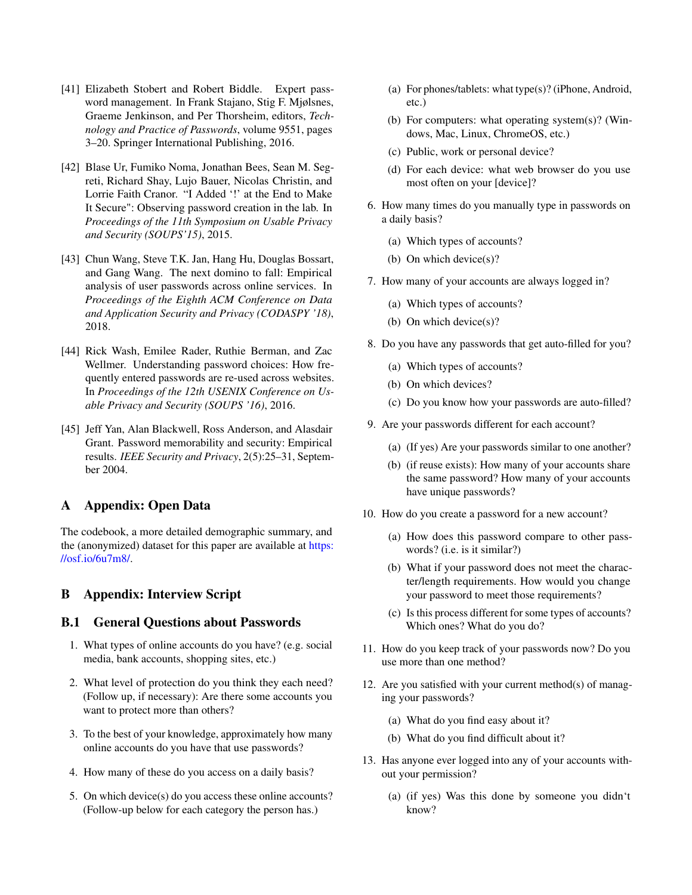- <span id="page-14-4"></span>[41] Elizabeth Stobert and Robert Biddle. Expert password management. In Frank Stajano, Stig F. Mjølsnes, Graeme Jenkinson, and Per Thorsheim, editors, *Technology and Practice of Passwords*, volume 9551, pages 3–20. Springer International Publishing, 2016.
- <span id="page-14-2"></span>[42] Blase Ur, Fumiko Noma, Jonathan Bees, Sean M. Segreti, Richard Shay, Lujo Bauer, Nicolas Christin, and Lorrie Faith Cranor. "I Added '!' at the End to Make It Secure": Observing password creation in the lab. In *Proceedings of the 11th Symposium on Usable Privacy and Security (SOUPS'15)*, 2015.
- <span id="page-14-1"></span>[43] Chun Wang, Steve T.K. Jan, Hang Hu, Douglas Bossart, and Gang Wang. The next domino to fall: Empirical analysis of user passwords across online services. In *Proceedings of the Eighth ACM Conference on Data and Application Security and Privacy (CODASPY '18)*, 2018.
- <span id="page-14-0"></span>[44] Rick Wash, Emilee Rader, Ruthie Berman, and Zac Wellmer. Understanding password choices: How frequently entered passwords are re-used across websites. In *Proceedings of the 12th USENIX Conference on Usable Privacy and Security (SOUPS '16)*, 2016.
- <span id="page-14-3"></span>[45] Jeff Yan, Alan Blackwell, Ross Anderson, and Alasdair Grant. Password memorability and security: Empirical results. *IEEE Security and Privacy*, 2(5):25–31, September 2004.

## A Appendix: Open Data

The codebook, a more detailed demographic summary, and the (anonymized) dataset for this paper are available at [https:](https://osf.io/6u7m8/) //osf.[io/6u7m8/.](https://osf.io/6u7m8/)

### <span id="page-14-5"></span>B Appendix: Interview Script

### <span id="page-14-6"></span>B.1 General Questions about Passwords

- 1. What types of online accounts do you have? (e.g. social media, bank accounts, shopping sites, etc.)
- 2. What level of protection do you think they each need? (Follow up, if necessary): Are there some accounts you want to protect more than others?
- 3. To the best of your knowledge, approximately how many online accounts do you have that use passwords?
- 4. How many of these do you access on a daily basis?
- 5. On which device(s) do you access these online accounts? (Follow-up below for each category the person has.)
- (a) For phones/tablets: what type(s)? (iPhone, Android, etc.)
- (b) For computers: what operating system(s)? (Windows, Mac, Linux, ChromeOS, etc.)
- (c) Public, work or personal device?
- (d) For each device: what web browser do you use most often on your [device]?
- 6. How many times do you manually type in passwords on a daily basis?
	- (a) Which types of accounts?
	- (b) On which device(s)?
- 7. How many of your accounts are always logged in?
	- (a) Which types of accounts?
	- (b) On which device(s)?
- 8. Do you have any passwords that get auto-filled for you?
	- (a) Which types of accounts?
	- (b) On which devices?
	- (c) Do you know how your passwords are auto-filled?
- 9. Are your passwords different for each account?
	- (a) (If yes) Are your passwords similar to one another?
	- (b) (if reuse exists): How many of your accounts share the same password? How many of your accounts have unique passwords?
- 10. How do you create a password for a new account?
	- (a) How does this password compare to other passwords? (i.e. is it similar?)
	- (b) What if your password does not meet the character/length requirements. How would you change your password to meet those requirements?
	- (c) Is this process different for some types of accounts? Which ones? What do you do?
- 11. How do you keep track of your passwords now? Do you use more than one method?
- 12. Are you satisfied with your current method(s) of managing your passwords?
	- (a) What do you find easy about it?
	- (b) What do you find difficult about it?
- <span id="page-14-7"></span>13. Has anyone ever logged into any of your accounts without your permission?
	- (a) (if yes) Was this done by someone you didn't know?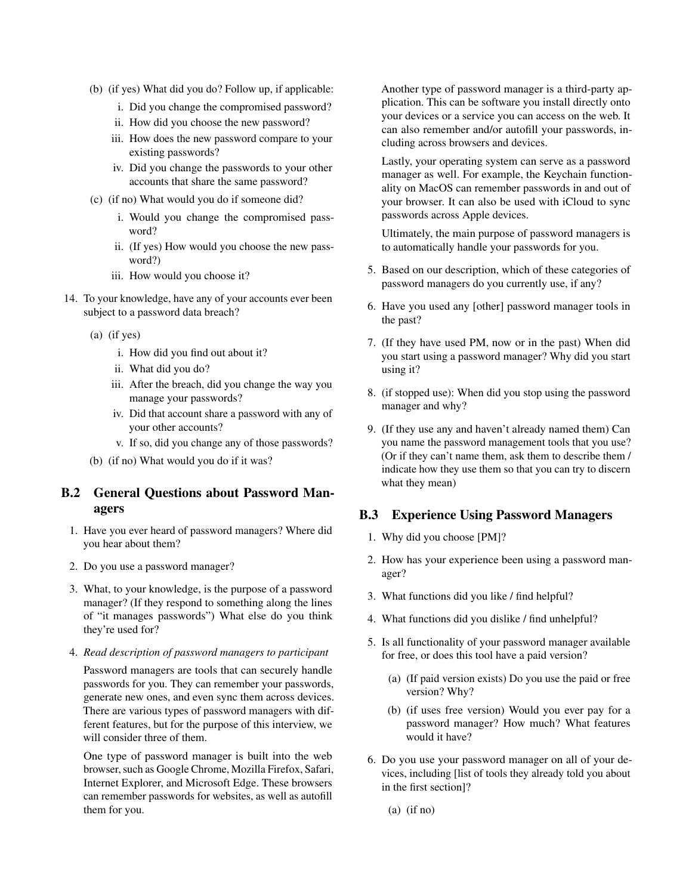- (b) (if yes) What did you do? Follow up, if applicable:
	- i. Did you change the compromised password?
	- ii. How did you choose the new password?
	- iii. How does the new password compare to your existing passwords?
	- iv. Did you change the passwords to your other accounts that share the same password?
- (c) (if no) What would you do if someone did?
	- i. Would you change the compromised password?
	- ii. (If yes) How would you choose the new password?)
	- iii. How would you choose it?
- 14. To your knowledge, have any of your accounts ever been subject to a password data breach?
	- (a) (if yes)
		- i. How did you find out about it?
		- ii. What did you do?
		- iii. After the breach, did you change the way you manage your passwords?
		- iv. Did that account share a password with any of your other accounts?
		- v. If so, did you change any of those passwords?
	- (b) (if no) What would you do if it was?

## B.2 General Questions about Password Managers

- 1. Have you ever heard of password managers? Where did you hear about them?
- 2. Do you use a password manager?
- 3. What, to your knowledge, is the purpose of a password manager? (If they respond to something along the lines of "it manages passwords") What else do you think they're used for?
- 4. *Read description of password managers to participant*

Password managers are tools that can securely handle passwords for you. They can remember your passwords, generate new ones, and even sync them across devices. There are various types of password managers with different features, but for the purpose of this interview, we will consider three of them.

One type of password manager is built into the web browser, such as Google Chrome, Mozilla Firefox, Safari, Internet Explorer, and Microsoft Edge. These browsers can remember passwords for websites, as well as autofill them for you.

Another type of password manager is a third-party application. This can be software you install directly onto your devices or a service you can access on the web. It can also remember and/or autofill your passwords, including across browsers and devices.

Lastly, your operating system can serve as a password manager as well. For example, the Keychain functionality on MacOS can remember passwords in and out of your browser. It can also be used with iCloud to sync passwords across Apple devices.

Ultimately, the main purpose of password managers is to automatically handle your passwords for you.

- 5. Based on our description, which of these categories of password managers do you currently use, if any?
- 6. Have you used any [other] password manager tools in the past?
- 7. (If they have used PM, now or in the past) When did you start using a password manager? Why did you start using it?
- 8. (if stopped use): When did you stop using the password manager and why?
- 9. (If they use any and haven't already named them) Can you name the password management tools that you use? (Or if they can't name them, ask them to describe them / indicate how they use them so that you can try to discern what they mean)

## B.3 Experience Using Password Managers

- 1. Why did you choose [PM]?
- 2. How has your experience been using a password manager?
- 3. What functions did you like / find helpful?
- 4. What functions did you dislike / find unhelpful?
- 5. Is all functionality of your password manager available for free, or does this tool have a paid version?
	- (a) (If paid version exists) Do you use the paid or free version? Why?
	- (b) (if uses free version) Would you ever pay for a password manager? How much? What features would it have?
- 6. Do you use your password manager on all of your devices, including [list of tools they already told you about in the first section]?
	- (a) (if no)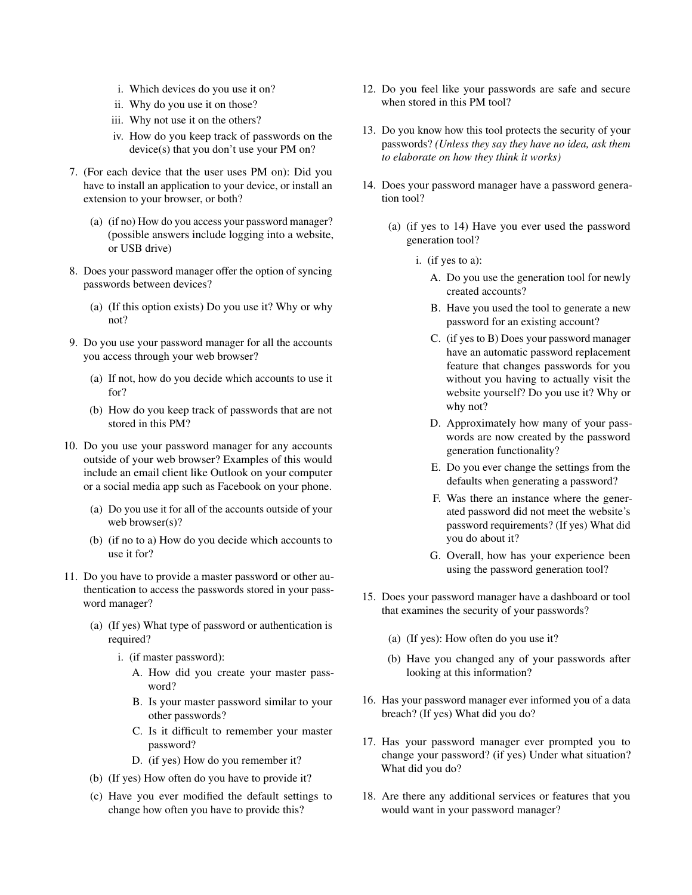- i. Which devices do you use it on?
- ii. Why do you use it on those?
- iii. Why not use it on the others?
- iv. How do you keep track of passwords on the device(s) that you don't use your PM on?
- 7. (For each device that the user uses PM on): Did you have to install an application to your device, or install an extension to your browser, or both?
	- (a) (if no) How do you access your password manager? (possible answers include logging into a website, or USB drive)
- 8. Does your password manager offer the option of syncing passwords between devices?
	- (a) (If this option exists) Do you use it? Why or why not?
- 9. Do you use your password manager for all the accounts you access through your web browser?
	- (a) If not, how do you decide which accounts to use it for?
	- (b) How do you keep track of passwords that are not stored in this PM?
- 10. Do you use your password manager for any accounts outside of your web browser? Examples of this would include an email client like Outlook on your computer or a social media app such as Facebook on your phone.
	- (a) Do you use it for all of the accounts outside of your web browser(s)?
	- (b) (if no to a) How do you decide which accounts to use it for?
- 11. Do you have to provide a master password or other authentication to access the passwords stored in your password manager?
	- (a) (If yes) What type of password or authentication is required?
		- i. (if master password):
			- A. How did you create your master password?
			- B. Is your master password similar to your other passwords?
			- C. Is it difficult to remember your master password?
			- D. (if yes) How do you remember it?
	- (b) (If yes) How often do you have to provide it?
	- (c) Have you ever modified the default settings to change how often you have to provide this?
- 12. Do you feel like your passwords are safe and secure when stored in this PM tool?
- 13. Do you know how this tool protects the security of your passwords? *(Unless they say they have no idea, ask them to elaborate on how they think it works)*
- 14. Does your password manager have a password generation tool?
	- (a) (if yes to 14) Have you ever used the password generation tool?
		- i. (if yes to a):
			- A. Do you use the generation tool for newly created accounts?
			- B. Have you used the tool to generate a new password for an existing account?
			- C. (if yes to B) Does your password manager have an automatic password replacement feature that changes passwords for you without you having to actually visit the website yourself? Do you use it? Why or why not?
			- D. Approximately how many of your passwords are now created by the password generation functionality?
			- E. Do you ever change the settings from the defaults when generating a password?
			- F. Was there an instance where the generated password did not meet the website's password requirements? (If yes) What did you do about it?
			- G. Overall, how has your experience been using the password generation tool?
- 15. Does your password manager have a dashboard or tool that examines the security of your passwords?
	- (a) (If yes): How often do you use it?
	- (b) Have you changed any of your passwords after looking at this information?
- 16. Has your password manager ever informed you of a data breach? (If yes) What did you do?
- 17. Has your password manager ever prompted you to change your password? (if yes) Under what situation? What did you do?
- 18. Are there any additional services or features that you would want in your password manager?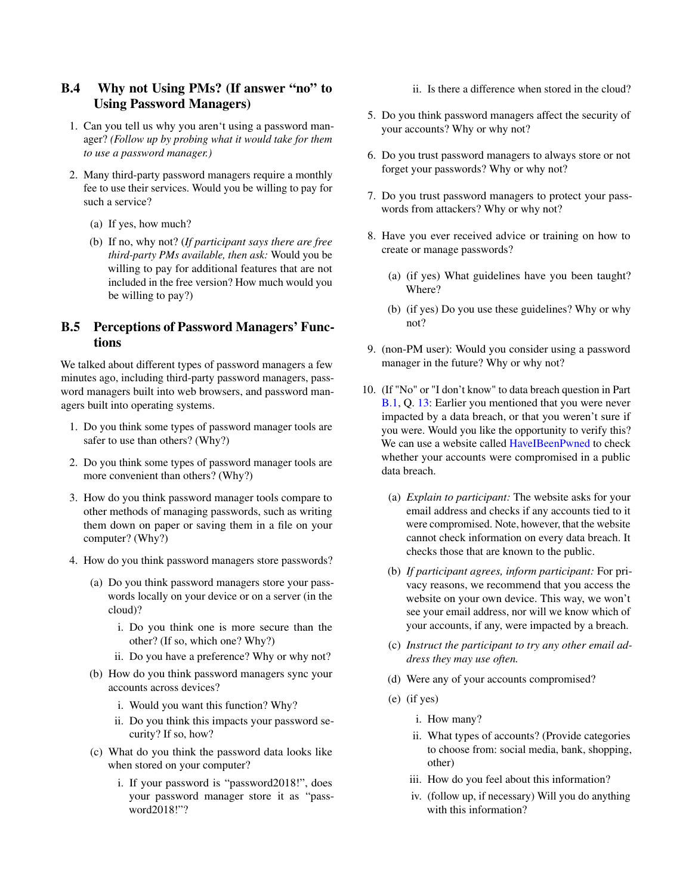# B.4 Why not Using PMs? (If answer "no" to Using Password Managers)

- 1. Can you tell us why you aren't using a password manager? *(Follow up by probing what it would take for them to use a password manager.)*
- 2. Many third-party password managers require a monthly fee to use their services. Would you be willing to pay for such a service?
	- (a) If yes, how much?
	- (b) If no, why not? (*If participant says there are free third-party PMs available, then ask:* Would you be willing to pay for additional features that are not included in the free version? How much would you be willing to pay?)

## B.5 Perceptions of Password Managers' Functions

We talked about different types of password managers a few minutes ago, including third-party password managers, password managers built into web browsers, and password managers built into operating systems.

- 1. Do you think some types of password manager tools are safer to use than others? (Why?)
- 2. Do you think some types of password manager tools are more convenient than others? (Why?)
- 3. How do you think password manager tools compare to other methods of managing passwords, such as writing them down on paper or saving them in a file on your computer? (Why?)
- 4. How do you think password managers store passwords?
	- (a) Do you think password managers store your passwords locally on your device or on a server (in the cloud)?
		- i. Do you think one is more secure than the other? (If so, which one? Why?)
		- ii. Do you have a preference? Why or why not?
	- (b) How do you think password managers sync your accounts across devices?
		- i. Would you want this function? Why?
		- ii. Do you think this impacts your password security? If so, how?
	- (c) What do you think the password data looks like when stored on your computer?
		- i. If your password is "password2018!", does your password manager store it as "password2018!"?
- ii. Is there a difference when stored in the cloud?
- 5. Do you think password managers affect the security of your accounts? Why or why not?
- 6. Do you trust password managers to always store or not forget your passwords? Why or why not?
- 7. Do you trust password managers to protect your passwords from attackers? Why or why not?
- 8. Have you ever received advice or training on how to create or manage passwords?
	- (a) (if yes) What guidelines have you been taught? Where?
	- (b) (if yes) Do you use these guidelines? Why or why not?
- 9. (non-PM user): Would you consider using a password manager in the future? Why or why not?
- 10. (If "No" or "I don't know" to data breach question in Part [B.1,](#page-14-6) Q. [13:](#page-14-7) Earlier you mentioned that you were never impacted by a data breach, or that you weren't sure if you were. Would you like the opportunity to verify this? We can use a website called [HaveIBeenPwned](#page-0-0) to check whether your accounts were compromised in a public data breach.
	- (a) *Explain to participant:* The website asks for your email address and checks if any accounts tied to it were compromised. Note, however, that the website cannot check information on every data breach. It checks those that are known to the public.
	- (b) *If participant agrees, inform participant:* For privacy reasons, we recommend that you access the website on your own device. This way, we won't see your email address, nor will we know which of your accounts, if any, were impacted by a breach.
	- (c) *Instruct the participant to try any other email address they may use often.*
	- (d) Were any of your accounts compromised?
	- (e) (if yes)
		- i. How many?
		- ii. What types of accounts? (Provide categories to choose from: social media, bank, shopping, other)
		- iii. How do you feel about this information?
		- iv. (follow up, if necessary) Will you do anything with this information?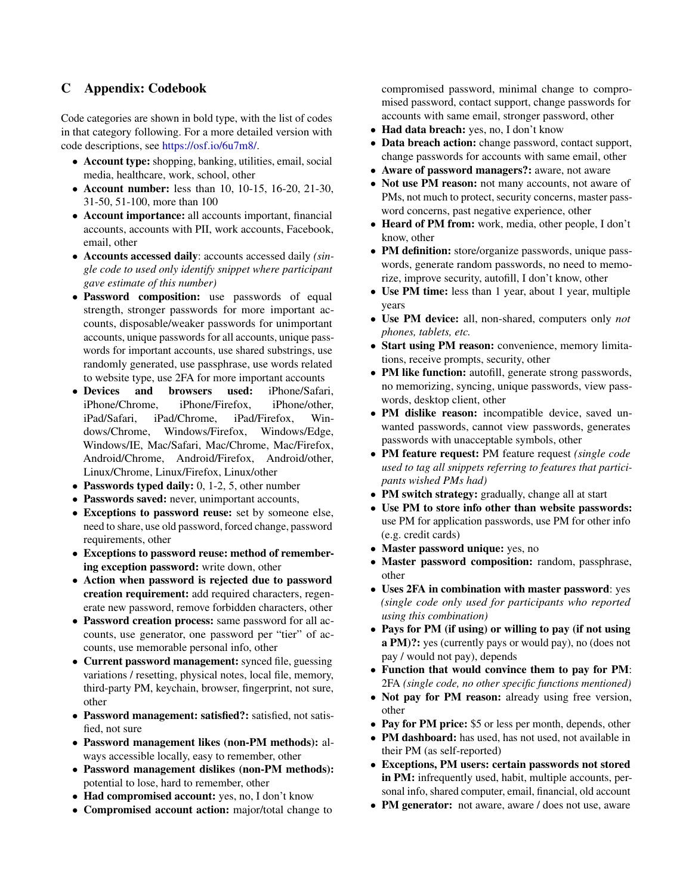### C Appendix: Codebook

Code categories are shown in bold type, with the list of codes in that category following. For a more detailed version with code descriptions, see https://osf.[io/6u7m8/.](https://osf.io/6u7m8/)

- Account type: shopping, banking, utilities, email, social media, healthcare, work, school, other
- Account number: less than 10, 10-15, 16-20, 21-30, 31-50, 51-100, more than 100
- Account importance: all accounts important, financial accounts, accounts with PII, work accounts, Facebook, email, other
- Accounts accessed daily: accounts accessed daily *(single code to used only identify snippet where participant gave estimate of this number)*
- Password composition: use passwords of equal strength, stronger passwords for more important accounts, disposable/weaker passwords for unimportant accounts, unique passwords for all accounts, unique passwords for important accounts, use shared substrings, use randomly generated, use passphrase, use words related to website type, use 2FA for more important accounts
- Devices and browsers used: iPhone/Safari, iPhone/Chrome, iPhone/Firefox, iPhone/other, iPad/Safari, iPad/Chrome, iPad/Firefox, Windows/Chrome, Windows/Firefox, Windows/Edge, Windows/IE, Mac/Safari, Mac/Chrome, Mac/Firefox, Android/Chrome, Android/Firefox, Android/other, Linux/Chrome, Linux/Firefox, Linux/other
- Passwords typed daily: 0, 1-2, 5, other number
- Passwords saved: never, unimportant accounts,
- Exceptions to password reuse: set by someone else, need to share, use old password, forced change, password requirements, other
- Exceptions to password reuse: method of remembering exception password: write down, other
- Action when password is rejected due to password creation requirement: add required characters, regenerate new password, remove forbidden characters, other
- Password creation process: same password for all accounts, use generator, one password per "tier" of accounts, use memorable personal info, other
- Current password management: synced file, guessing variations / resetting, physical notes, local file, memory, third-party PM, keychain, browser, fingerprint, not sure, other
- Password management: satisfied?: satisfied, not satisfied, not sure
- Password management likes (non-PM methods): always accessible locally, easy to remember, other
- Password management dislikes (non-PM methods): potential to lose, hard to remember, other
- Had compromised account: yes, no, I don't know
- Compromised account action: major/total change to

compromised password, minimal change to compromised password, contact support, change passwords for accounts with same email, stronger password, other

- Had data breach: yes, no, I don't know
- Data breach action: change password, contact support, change passwords for accounts with same email, other
- Aware of password managers?: aware, not aware
- Not use PM reason: not many accounts, not aware of PMs, not much to protect, security concerns, master password concerns, past negative experience, other
- Heard of PM from: work, media, other people, I don't know, other
- PM definition: store/organize passwords, unique passwords, generate random passwords, no need to memorize, improve security, autofill, I don't know, other
- Use PM time: less than 1 year, about 1 year, multiple years
- Use PM device: all, non-shared, computers only *not phones, tablets, etc.*
- Start using PM reason: convenience, memory limitations, receive prompts, security, other
- PM like function: autofill, generate strong passwords, no memorizing, syncing, unique passwords, view passwords, desktop client, other
- PM dislike reason: incompatible device, saved unwanted passwords, cannot view passwords, generates passwords with unacceptable symbols, other
- PM feature request: PM feature request *(single code used to tag all snippets referring to features that participants wished PMs had)*
- PM switch strategy: gradually, change all at start
- Use PM to store info other than website passwords: use PM for application passwords, use PM for other info (e.g. credit cards)
- Master password unique: yes, no
- Master password composition: random, passphrase, other
- Uses 2FA in combination with master password: yes *(single code only used for participants who reported using this combination)*
- Pays for PM (if using) or willing to pay (if not using a PM)?: yes (currently pays or would pay), no (does not pay / would not pay), depends
- Function that would convince them to pay for PM: 2FA *(single code, no other specific functions mentioned)*
- Not pay for PM reason: already using free version, other
- Pay for PM price: \$5 or less per month, depends, other
- PM dashboard: has used, has not used, not available in their PM (as self-reported)
- Exceptions, PM users: certain passwords not stored in PM: infrequently used, habit, multiple accounts, personal info, shared computer, email, financial, old account
- PM generator: not aware, aware / does not use, aware